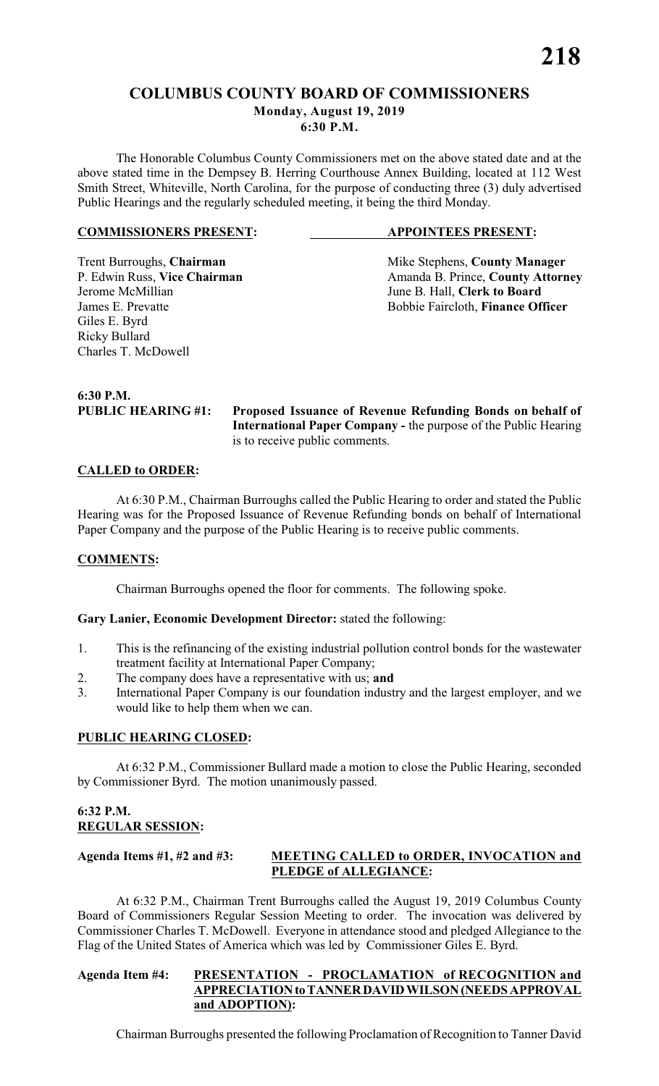# **COLUMBUS COUNTY BOARD OF COMMISSIONERS Monday, August 19, 2019**

**6:30 P.M.**

The Honorable Columbus County Commissioners met on the above stated date and at the above stated time in the Dempsey B. Herring Courthouse Annex Building, located at 112 West Smith Street, Whiteville, North Carolina, for the purpose of conducting three (3) duly advertised Public Hearings and the regularly scheduled meeting, it being the third Monday.

#### **COMMISSIONERS PRESENT: APPOINTEES PRESENT:**

Jerome McMillian June B. Hall, **Clerk to Board** Giles E. Byrd Ricky Bullard Charles T. McDowell

Trent Burroughs, **Chairman** Mike Stephens, **County Manager** P. Edwin Russ, Vice Chairman Manager Amanda B. Prince, **County Attorn** P. Edwin Russ, **Vice Chairman** Amanda B. Prince, **County Attorney**<br>Jerome McMillian June B. Hall, **Clerk to Board** Bobbie Faircloth, Finance Officer

**6:30 P.M.**

**PUBLIC HEARING #1: Proposed Issuance of Revenue Refunding Bonds on behalf of International Paper Company -** the purpose of the Public Hearing is to receive public comments.

# **CALLED to ORDER:**

At 6:30 P.M., Chairman Burroughs called the Public Hearing to order and stated the Public Hearing was for the Proposed Issuance of Revenue Refunding bonds on behalf of International Paper Company and the purpose of the Public Hearing is to receive public comments.

#### **COMMENTS:**

Chairman Burroughs opened the floor for comments. The following spoke.

#### **Gary Lanier, Economic Development Director:** stated the following:

- 1. This is the refinancing of the existing industrial pollution control bonds for the wastewater treatment facility at International Paper Company;
- 2. The company does have a representative with us; **and**
- 3. International Paper Company is our foundation industry and the largest employer, and we would like to help them when we can.

# **PUBLIC HEARING CLOSED:**

At 6:32 P.M., Commissioner Bullard made a motion to close the Public Hearing, seconded by Commissioner Byrd. The motion unanimously passed.

# **6:32 P.M. REGULAR SESSION:**

#### **Agenda Items #1, #2 and #3: MEETING CALLED to ORDER, INVOCATION and PLEDGE of ALLEGIANCE:**

At 6:32 P.M., Chairman Trent Burroughs called the August 19, 2019 Columbus County Board of Commissioners Regular Session Meeting to order. The invocation was delivered by Commissioner Charles T. McDowell. Everyone in attendance stood and pledged Allegiance to the Flag of the United States of America which was led by Commissioner Giles E. Byrd.

# **Agenda Item #4: PRESENTATION - PROCLAMATION of RECOGNITION and APPRECIATION to TANNER DAVID WILSON (NEEDS APPROVAL and ADOPTION):**

Chairman Burroughs presented the following Proclamation of Recognition to Tanner David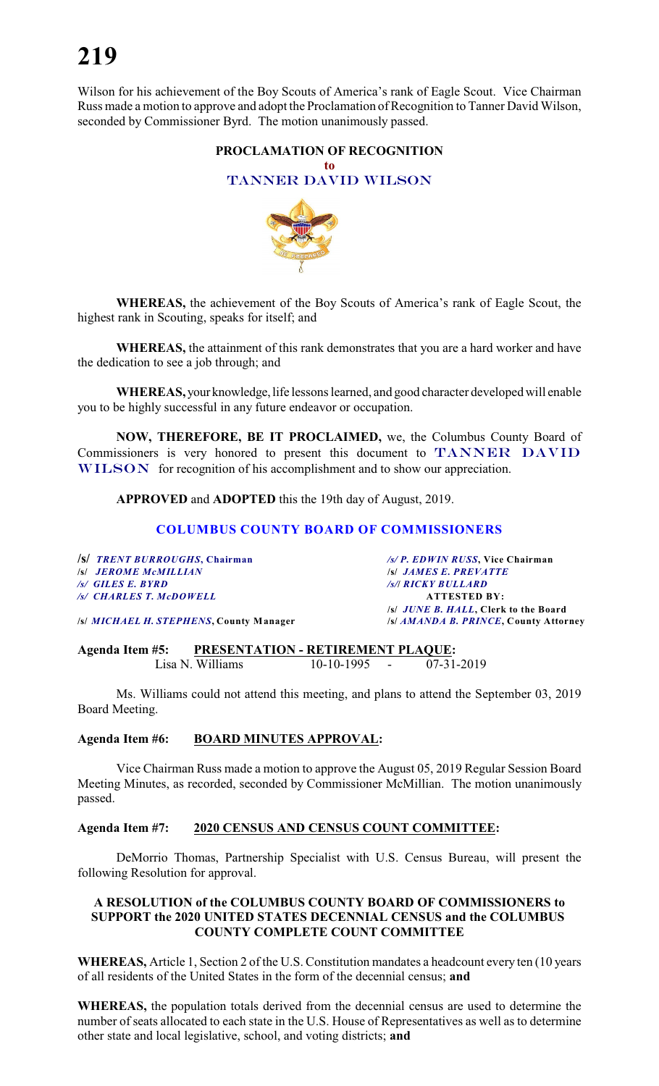Wilson for his achievement of the Boy Scouts of America's rank of Eagle Scout. Vice Chairman Russ made a motion to approve and adopt the Proclamation of Recognition to Tanner David Wilson, seconded by Commissioner Byrd. The motion unanimously passed.

# **PROCLAMATION OF RECOGNITION to** *TANNER DAVID WILSON*



**WHEREAS,** the achievement of the Boy Scouts of America's rank of Eagle Scout, the highest rank in Scouting, speaks for itself; and

**WHEREAS,** the attainment of this rank demonstrates that you are a hard worker and have the dedication to see a job through; and

**WHEREAS,** your knowledge, life lessons learned, and good character developed will enable you to be highly successful in any future endeavor or occupation.

**NOW, THEREFORE, BE IT PROCLAIMED,** we, the Columbus County Board of Commissioners is very honored to present this document to *TANNER DAVID WILSON* for recognition of his accomplishment and to show our appreciation.

**APPROVED** and **ADOPTED** this the 19th day of August, 2019.

# **COLUMBUS COUNTY BOARD OF COMMISSIONERS**

| /S/ TRENT BURROUGHS, Chairman                   | /s/ P. EDWIN RUSS, Vice Chairman             |
|-------------------------------------------------|----------------------------------------------|
| <b>S JEROME MCMILLIAN</b>                       | <b>S JAMES E. PREVATTE</b>                   |
| /s/ GILES E. BYRD                               | <b>/s/  RICKY BULLARD</b>                    |
| /s/ CHARLES T. McDOWELL                         | <b>ATTESTED BY:</b>                          |
|                                                 | /s/ <i>JUNE B. HALL</i> , Clerk to the Board |
| /s/ <i>MICHAEL H. STEPHENS</i> , County Manager | /s/ AMANDA B. PRINCE, County Attorney        |

**Agenda Item #5: PRESENTATION - RETIREMENT PLAQUE:**<br>Lisa N. Williams 10-10-1995 - 07-31-2019 Lisa N. Williams

Ms. Williams could not attend this meeting, and plans to attend the September 03, 2019 Board Meeting.

#### **Agenda Item #6: BOARD MINUTES APPROVAL:**

Vice Chairman Russ made a motion to approve the August 05, 2019 Regular Session Board Meeting Minutes, as recorded, seconded by Commissioner McMillian. The motion unanimously passed.

#### **Agenda Item #7: 2020 CENSUS AND CENSUS COUNT COMMITTEE:**

DeMorrio Thomas, Partnership Specialist with U.S. Census Bureau, will present the following Resolution for approval.

#### **A RESOLUTION of the COLUMBUS COUNTY BOARD OF COMMISSIONERS to SUPPORT the 2020 UNITED STATES DECENNIAL CENSUS and the COLUMBUS COUNTY COMPLETE COUNT COMMITTEE**

**WHEREAS,** Article 1, Section 2 of the U.S. Constitution mandates a headcount every ten (10 years of all residents of the United States in the form of the decennial census; **and**

**WHEREAS,** the population totals derived from the decennial census are used to determine the number of seats allocated to each state in the U.S. House of Representatives as well as to determine other state and local legislative, school, and voting districts; **and**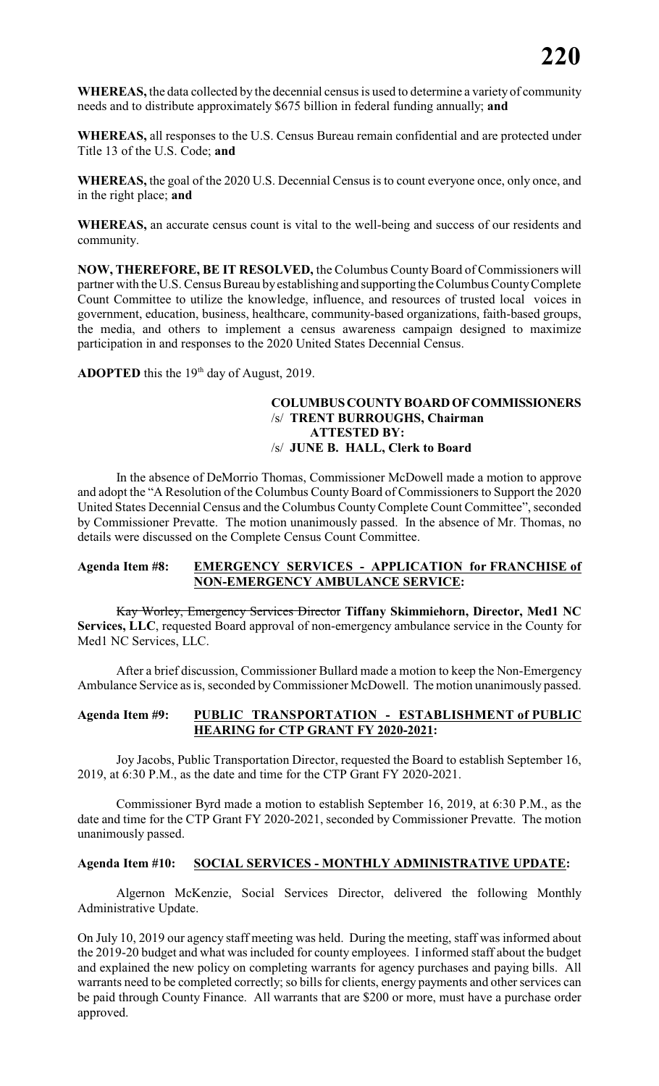**WHEREAS,** the data collected by the decennial censusis used to determine a variety of community needs and to distribute approximately \$675 billion in federal funding annually; **and**

**WHEREAS,** all responses to the U.S. Census Bureau remain confidential and are protected under Title 13 of the U.S. Code; **and**

**WHEREAS,** the goal of the 2020 U.S. Decennial Census is to count everyone once, only once, and in the right place; **and**

**WHEREAS,** an accurate census count is vital to the well-being and success of our residents and community.

**NOW, THEREFORE, BE IT RESOLVED,** the Columbus County Board of Commissioners will partner with the U.S. Census Bureau byestablishing and supporting the Columbus County Complete Count Committee to utilize the knowledge, influence, and resources of trusted local voices in government, education, business, healthcare, community-based organizations, faith-based groups, the media, and others to implement a census awareness campaign designed to maximize participation in and responses to the 2020 United States Decennial Census.

**ADOPTED** this the  $19<sup>th</sup>$  day of August, 2019.

#### **COLUMBUS COUNTY BOARD OF COMMISSIONERS** /s/ **TRENT BURROUGHS, Chairman ATTESTED BY:** /s/ **JUNE B. HALL, Clerk to Board**

In the absence of DeMorrio Thomas, Commissioner McDowell made a motion to approve and adopt the "A Resolution of the Columbus County Board of Commissioners to Support the 2020 United States Decennial Census and the Columbus CountyComplete Count Committee", seconded by Commissioner Prevatte. The motion unanimously passed. In the absence of Mr. Thomas, no details were discussed on the Complete Census Count Committee.

# **Agenda Item #8: EMERGENCY SERVICES - APPLICATION for FRANCHISE of NON-EMERGENCY AMBULANCE SERVICE:**

Kay Worley, Emergency Services Director **Tiffany Skimmiehorn, Director, Med1 NC Services, LLC**, requested Board approval of non-emergency ambulance service in the County for Med1 NC Services, LLC.

After a brief discussion, Commissioner Bullard made a motion to keep the Non-Emergency Ambulance Service as is, seconded by Commissioner McDowell. The motion unanimously passed.

# **Agenda Item #9: PUBLIC TRANSPORTATION - ESTABLISHMENT of PUBLIC HEARING for CTP GRANT FY 2020-2021:**

Joy Jacobs, Public Transportation Director, requested the Board to establish September 16, 2019, at 6:30 P.M., as the date and time for the CTP Grant FY 2020-2021.

Commissioner Byrd made a motion to establish September 16, 2019, at 6:30 P.M., as the date and time for the CTP Grant FY 2020-2021, seconded by Commissioner Prevatte. The motion unanimously passed.

#### **Agenda Item #10: SOCIAL SERVICES - MONTHLY ADMINISTRATIVE UPDATE:**

Algernon McKenzie, Social Services Director, delivered the following Monthly Administrative Update.

On July 10, 2019 our agency staff meeting was held. During the meeting, staff was informed about the 2019-20 budget and what was included for county employees. I informed staff about the budget and explained the new policy on completing warrants for agency purchases and paying bills. All warrants need to be completed correctly; so bills for clients, energy payments and other services can be paid through County Finance. All warrants that are \$200 or more, must have a purchase order approved.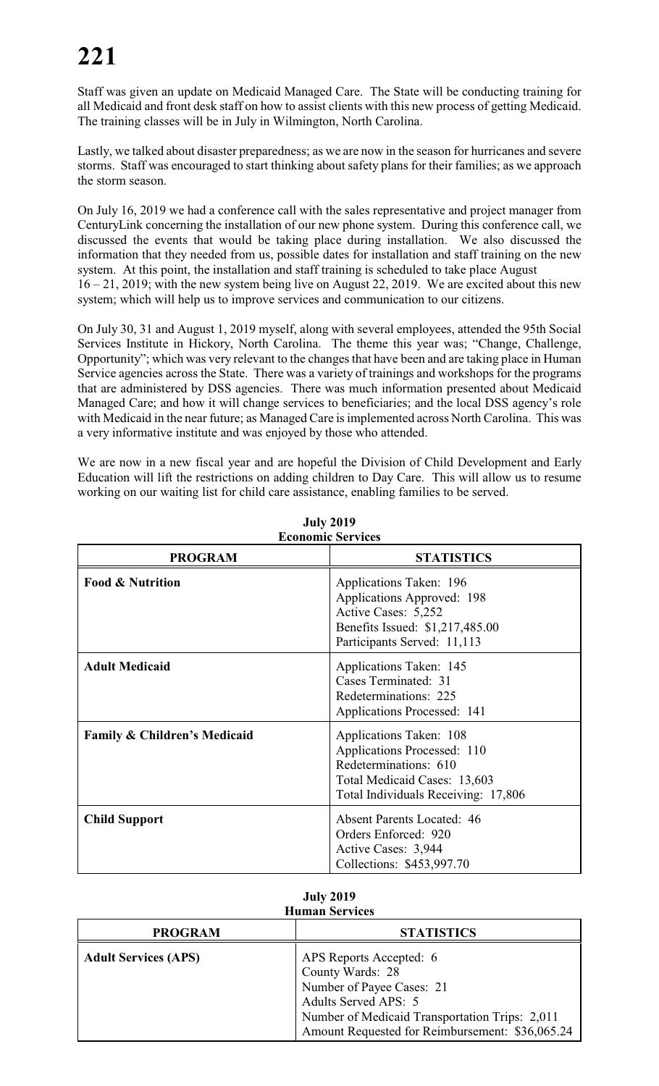Staff was given an update on Medicaid Managed Care. The State will be conducting training for all Medicaid and front desk staff on how to assist clients with this new process of getting Medicaid. The training classes will be in July in Wilmington, North Carolina.

Lastly, we talked about disaster preparedness; as we are now in the season for hurricanes and severe storms. Staff was encouraged to start thinking about safety plans for their families; as we approach the storm season.

On July 16, 2019 we had a conference call with the sales representative and project manager from CenturyLink concerning the installation of our new phone system. During this conference call, we discussed the events that would be taking place during installation. We also discussed the information that they needed from us, possible dates for installation and staff training on the new system. At this point, the installation and staff training is scheduled to take place August 16 – 21, 2019; with the new system being live on August 22, 2019. We are excited about this new

system; which will help us to improve services and communication to our citizens. On July 30, 31 and August 1, 2019 myself, along with several employees, attended the 95th Social Services Institute in Hickory, North Carolina. The theme this year was; "Change, Challenge,

Opportunity"; which was very relevant to the changes that have been and are taking place in Human Service agencies across the State. There was a variety of trainings and workshops for the programs that are administered by DSS agencies. There was much information presented about Medicaid Managed Care; and how it will change services to beneficiaries; and the local DSS agency's role with Medicaid in the near future; as Managed Care is implemented across North Carolina. This was a very informative institute and was enjoyed by those who attended.

We are now in a new fiscal year and are hopeful the Division of Child Development and Early Education will lift the restrictions on adding children to Day Care. This will allow us to resume working on our waiting list for child care assistance, enabling families to be served.

| <b>PROGRAM</b>                          | <b>STATISTICS</b>                                                                                                                                      |
|-----------------------------------------|--------------------------------------------------------------------------------------------------------------------------------------------------------|
| <b>Food &amp; Nutrition</b>             | Applications Taken: 196<br>Applications Approved: 198<br>Active Cases: 5,252<br>Benefits Issued: \$1,217,485.00<br>Participants Served: 11,113         |
| <b>Adult Medicaid</b>                   | Applications Taken: 145<br>Cases Terminated: 31<br>Redeterminations: 225<br>Applications Processed: 141                                                |
| <b>Family &amp; Children's Medicaid</b> | Applications Taken: 108<br>Applications Processed: 110<br>Redeterminations: 610<br>Total Medicaid Cases: 13,603<br>Total Individuals Receiving: 17,806 |
| <b>Child Support</b>                    | <b>Absent Parents Located: 46</b><br>Orders Enforced: 920<br>Active Cases: 3,944<br>Collections: \$453,997.70                                          |

**July 2019 Economic Services**

| <b>July 2019</b>      |
|-----------------------|
| <b>Human Services</b> |

| <b>PROGRAM</b>              | <b>STATISTICS</b>                                                                                                                                                                                     |
|-----------------------------|-------------------------------------------------------------------------------------------------------------------------------------------------------------------------------------------------------|
| <b>Adult Services (APS)</b> | APS Reports Accepted: 6<br>County Wards: 28<br>Number of Payee Cases: 21<br>Adults Served APS: 5<br>Number of Medicaid Transportation Trips: 2,011<br>Amount Requested for Reimbursement: \$36,065.24 |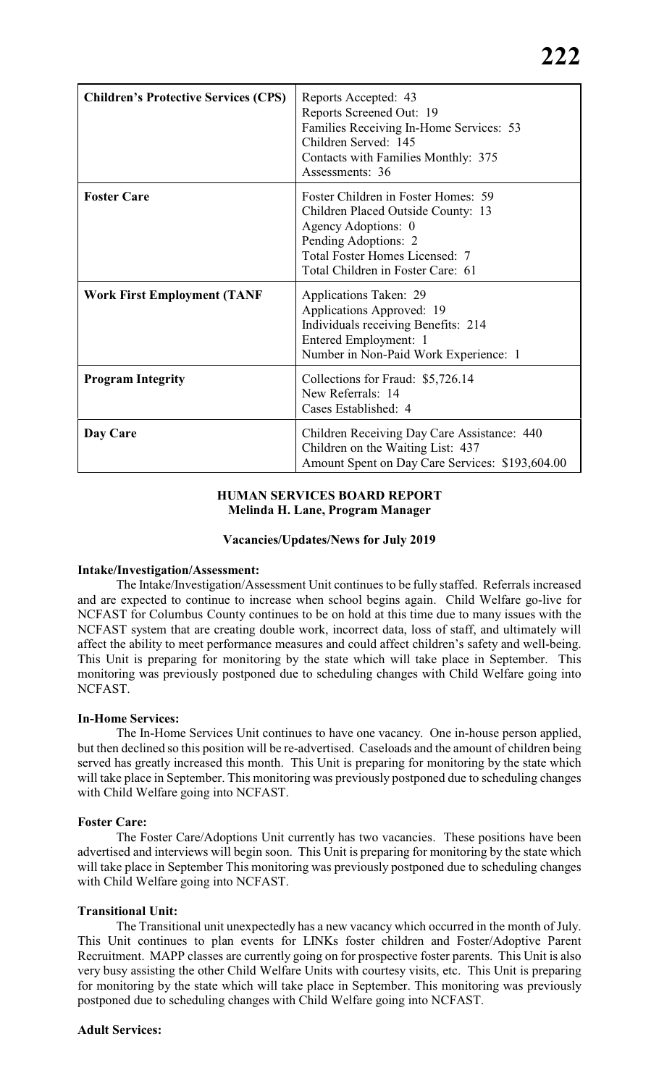| <b>Children's Protective Services (CPS)</b> | Reports Accepted: 43<br>Reports Screened Out: 19<br>Families Receiving In-Home Services: 53<br>Children Served: 145<br>Contacts with Families Monthly: 375<br>Assessments: 36                   |
|---------------------------------------------|-------------------------------------------------------------------------------------------------------------------------------------------------------------------------------------------------|
| <b>Foster Care</b>                          | Foster Children in Foster Homes: 59<br>Children Placed Outside County: 13<br>Agency Adoptions: 0<br>Pending Adoptions: 2<br>Total Foster Homes Licensed: 7<br>Total Children in Foster Care: 61 |
| <b>Work First Employment (TANF</b>          | Applications Taken: 29<br>Applications Approved: 19<br>Individuals receiving Benefits: 214<br>Entered Employment: 1<br>Number in Non-Paid Work Experience: 1                                    |
| <b>Program Integrity</b>                    | Collections for Fraud: \$5,726.14<br>New Referrals: 14<br>Cases Established: 4                                                                                                                  |
| Day Care                                    | Children Receiving Day Care Assistance: 440<br>Children on the Waiting List: 437<br>Amount Spent on Day Care Services: \$193,604.00                                                             |

### **HUMAN SERVICES BOARD REPORT Melinda H. Lane, Program Manager**

#### **Vacancies/Updates/News for July 2019**

#### **Intake/Investigation/Assessment:**

The Intake/Investigation/Assessment Unit continues to be fully staffed. Referrals increased and are expected to continue to increase when school begins again. Child Welfare go-live for NCFAST for Columbus County continues to be on hold at this time due to many issues with the NCFAST system that are creating double work, incorrect data, loss of staff, and ultimately will affect the ability to meet performance measures and could affect children's safety and well-being. This Unit is preparing for monitoring by the state which will take place in September. This monitoring was previously postponed due to scheduling changes with Child Welfare going into NCFAST.

#### **In-Home Services:**

The In-Home Services Unit continues to have one vacancy. One in-house person applied, but then declined so this position will be re-advertised. Caseloads and the amount of children being served has greatly increased this month. This Unit is preparing for monitoring by the state which will take place in September. This monitoring was previously postponed due to scheduling changes with Child Welfare going into NCFAST.

#### **Foster Care:**

The Foster Care/Adoptions Unit currently has two vacancies. These positions have been advertised and interviews will begin soon. This Unit is preparing for monitoring by the state which will take place in September This monitoring was previously postponed due to scheduling changes with Child Welfare going into NCFAST.

#### **Transitional Unit:**

The Transitional unit unexpectedly has a new vacancy which occurred in the month of July. This Unit continues to plan events for LINKs foster children and Foster/Adoptive Parent Recruitment. MAPP classes are currently going on for prospective foster parents. This Unit is also very busy assisting the other Child Welfare Units with courtesy visits, etc. This Unit is preparing for monitoring by the state which will take place in September. This monitoring was previously postponed due to scheduling changes with Child Welfare going into NCFAST.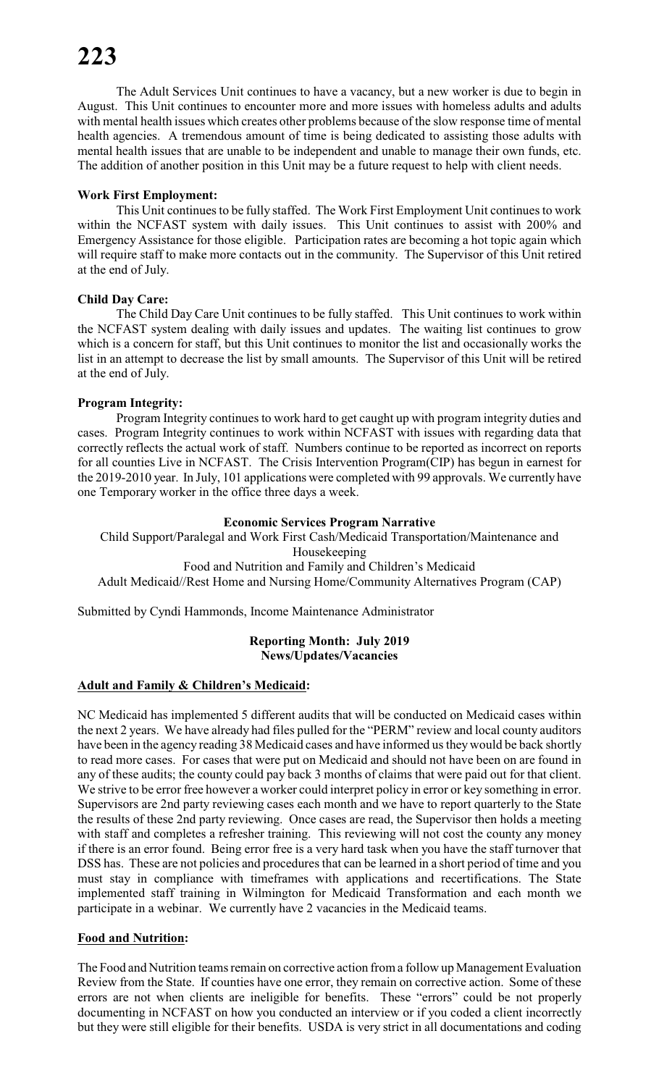The Adult Services Unit continues to have a vacancy, but a new worker is due to begin in August. This Unit continues to encounter more and more issues with homeless adults and adults with mental health issues which creates other problems because of the slow response time of mental health agencies. A tremendous amount of time is being dedicated to assisting those adults with mental health issues that are unable to be independent and unable to manage their own funds, etc. The addition of another position in this Unit may be a future request to help with client needs.

### **Work First Employment:**

This Unit continues to be fully staffed. The Work First Employment Unit continues to work within the NCFAST system with daily issues. This Unit continues to assist with 200% and Emergency Assistance for those eligible. Participation rates are becoming a hot topic again which will require staff to make more contacts out in the community. The Supervisor of this Unit retired at the end of July.

# **Child Day Care:**

The Child Day Care Unit continues to be fully staffed. This Unit continues to work within the NCFAST system dealing with daily issues and updates. The waiting list continues to grow which is a concern for staff, but this Unit continues to monitor the list and occasionally works the list in an attempt to decrease the list by small amounts. The Supervisor of this Unit will be retired at the end of July.

# **Program Integrity:**

Program Integrity continues to work hard to get caught up with program integrity duties and cases. Program Integrity continues to work within NCFAST with issues with regarding data that correctly reflects the actual work of staff. Numbers continue to be reported as incorrect on reports for all counties Live in NCFAST. The Crisis Intervention Program(CIP) has begun in earnest for the 2019-2010 year. In July, 101 applications were completed with 99 approvals. We currently have one Temporary worker in the office three days a week.

#### **Economic Services Program Narrative**

Child Support/Paralegal and Work First Cash/Medicaid Transportation/Maintenance and Housekeeping Food and Nutrition and Family and Children's Medicaid Adult Medicaid//Rest Home and Nursing Home/Community Alternatives Program (CAP)

Submitted by Cyndi Hammonds, Income Maintenance Administrator

#### **Reporting Month: July 2019 News/Updates/Vacancies**

#### **Adult and Family & Children's Medicaid:**

NC Medicaid has implemented 5 different audits that will be conducted on Medicaid cases within the next 2 years. We have already had files pulled for the "PERM" review and local county auditors have been in the agency reading 38 Medicaid cases and have informed us they would be back shortly to read more cases. For cases that were put on Medicaid and should not have been on are found in any of these audits; the county could pay back 3 months of claims that were paid out for that client. We strive to be error free however a worker could interpret policy in error or key something in error. Supervisors are 2nd party reviewing cases each month and we have to report quarterly to the State the results of these 2nd party reviewing. Once cases are read, the Supervisor then holds a meeting with staff and completes a refresher training. This reviewing will not cost the county any money if there is an error found. Being error free is a very hard task when you have the staff turnover that DSS has. These are not policies and procedures that can be learned in a short period of time and you must stay in compliance with timeframes with applications and recertifications. The State implemented staff training in Wilmington for Medicaid Transformation and each month we participate in a webinar. We currently have 2 vacancies in the Medicaid teams.

# **Food and Nutrition:**

The Food and Nutrition teams remain on corrective action from a follow up Management Evaluation Review from the State. If counties have one error, they remain on corrective action. Some of these errors are not when clients are ineligible for benefits. These "errors" could be not properly documenting in NCFAST on how you conducted an interview or if you coded a client incorrectly but they were still eligible for their benefits. USDA is very strict in all documentations and coding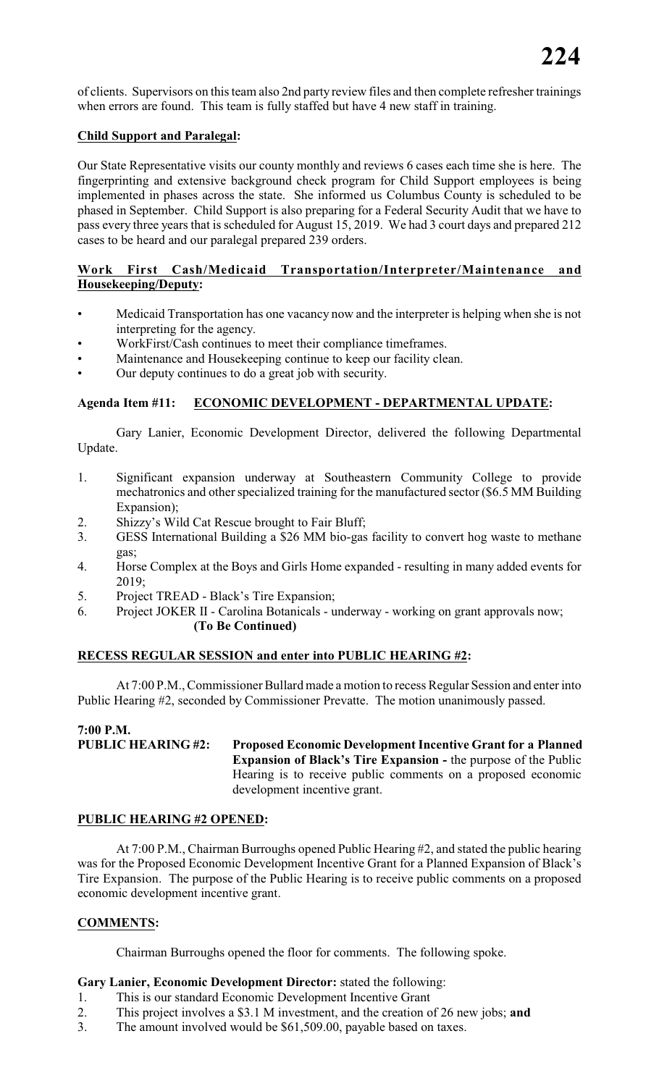of clients. Supervisors on thisteam also 2nd party review files and then complete refresher trainings when errors are found. This team is fully staffed but have 4 new staff in training.

## **Child Support and Paralegal:**

Our State Representative visits our county monthly and reviews 6 cases each time she is here. The fingerprinting and extensive background check program for Child Support employees is being implemented in phases across the state. She informed us Columbus County is scheduled to be phased in September. Child Support is also preparing for a Federal Security Audit that we have to pass every three years that is scheduled for August 15, 2019. We had 3 court days and prepared 212 cases to be heard and our paralegal prepared 239 orders.

# **Work First Cash/Medicaid Transportation/Interpreter/Maintenance and Housekeeping/Deputy:**

- Medicaid Transportation has one vacancy now and the interpreter is helping when she is not interpreting for the agency.
- WorkFirst/Cash continues to meet their compliance timeframes.
- Maintenance and Housekeeping continue to keep our facility clean.
- Our deputy continues to do a great job with security.

# **Agenda Item #11: ECONOMIC DEVELOPMENT - DEPARTMENTAL UPDATE:**

Gary Lanier, Economic Development Director, delivered the following Departmental Update.

- 1. Significant expansion underway at Southeastern Community College to provide mechatronics and other specialized training for the manufactured sector (\$6.5 MM Building Expansion);
- 2. Shizzy's Wild Cat Rescue brought to Fair Bluff;
- 3. GESS International Building a \$26 MM bio-gas facility to convert hog waste to methane gas;
- 4. Horse Complex at the Boys and Girls Home expanded resulting in many added events for 2019;
- 5. Project TREAD Black's Tire Expansion;
- 6. Project JOKER II Carolina Botanicals underway working on grant approvals now; **(To Be Continued)**

#### **RECESS REGULAR SESSION and enter into PUBLIC HEARING #2:**

At 7:00 P.M., Commissioner Bullard made a motion to recess Regular Session and enter into Public Hearing #2, seconded by Commissioner Prevatte. The motion unanimously passed.

# **7:00 P.M.**

**PUBLIC HEARING #2: Proposed Economic Development Incentive Grant for a Planned Expansion of Black's Tire Expansion -** the purpose of the Public Hearing is to receive public comments on a proposed economic development incentive grant.

#### **PUBLIC HEARING #2 OPENED:**

At 7:00 P.M., Chairman Burroughs opened Public Hearing #2, and stated the public hearing was for the Proposed Economic Development Incentive Grant for a Planned Expansion of Black's Tire Expansion. The purpose of the Public Hearing is to receive public comments on a proposed economic development incentive grant.

# **COMMENTS:**

Chairman Burroughs opened the floor for comments. The following spoke.

### **Gary Lanier, Economic Development Director:** stated the following:

- 1. This is our standard Economic Development Incentive Grant
- 2. This project involves a \$3.1 M investment, and the creation of 26 new jobs; **and**<br>3. The amount involved would be \$61,509.00, payable based on taxes.
- The amount involved would be \$61,509.00, payable based on taxes.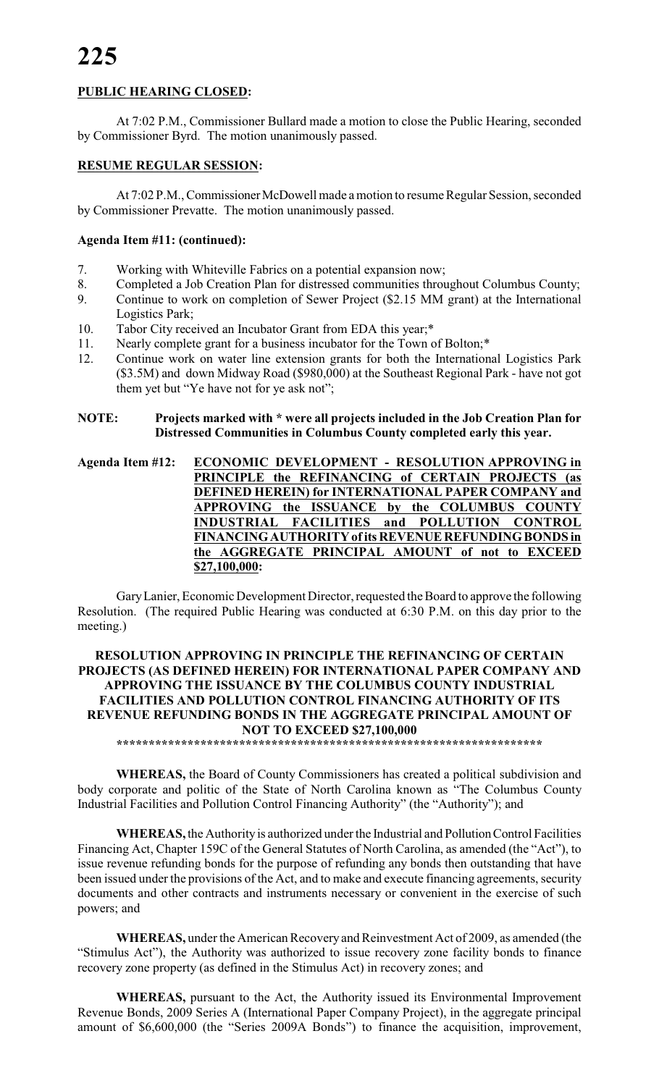# **PUBLIC HEARING CLOSED:**

At 7:02 P.M., Commissioner Bullard made a motion to close the Public Hearing, seconded by Commissioner Byrd. The motion unanimously passed.

# **RESUME REGULAR SESSION:**

At 7:02 P.M., Commissioner McDowell made a motion to resume Regular Session, seconded by Commissioner Prevatte. The motion unanimously passed.

### **Agenda Item #11: (continued):**

- 7. Working with Whiteville Fabrics on a potential expansion now;
- 8. Completed a Job Creation Plan for distressed communities throughout Columbus County;
- 9. Continue to work on completion of Sewer Project (\$2.15 MM grant) at the International Logistics Park;
- 10. Tabor City received an Incubator Grant from EDA this year;\*
- 11. Nearly complete grant for a business incubator for the Town of Bolton;\*
- 12. Continue work on water line extension grants for both the International Logistics Park (\$3.5M) and down Midway Road (\$980,000) at the Southeast Regional Park - have not got them yet but "Ye have not for ye ask not";

**NOTE: Projects marked with \* were all projects included in the Job Creation Plan for Distressed Communities in Columbus County completed early this year.**

**Agenda Item #12: ECONOMIC DEVELOPMENT - RESOLUTION APPROVING in PRINCIPLE the REFINANCING of CERTAIN PROJECTS (as DEFINED HEREIN) for INTERNATIONAL PAPER COMPANY and APPROVING the ISSUANCE by the COLUMBUS COUNTY INDUSTRIAL FACILITIES and POLLUTION CONTROL FINANCING AUTHORITY of its REVENUE REFUNDING BONDS in the AGGREGATE PRINCIPAL AMOUNT of not to EXCEED \$27,100,000:**

Gary Lanier, Economic Development Director, requested the Board to approve the following Resolution. (The required Public Hearing was conducted at 6:30 P.M. on this day prior to the meeting.)

# **RESOLUTION APPROVING IN PRINCIPLE THE REFINANCING OF CERTAIN PROJECTS (AS DEFINED HEREIN) FOR INTERNATIONAL PAPER COMPANY AND APPROVING THE ISSUANCE BY THE COLUMBUS COUNTY INDUSTRIAL FACILITIES AND POLLUTION CONTROL FINANCING AUTHORITY OF ITS REVENUE REFUNDING BONDS IN THE AGGREGATE PRINCIPAL AMOUNT OF NOT TO EXCEED \$27,100,000**

**\*\*\*\*\*\*\*\*\*\*\*\*\*\*\*\*\*\*\*\*\*\*\*\*\*\*\*\*\*\*\*\*\*\*\*\*\*\*\*\*\*\*\*\*\*\*\*\*\*\*\*\*\*\*\*\*\*\*\*\*\*\*\*\*\*\***

**WHEREAS,** the Board of County Commissioners has created a political subdivision and body corporate and politic of the State of North Carolina known as "The Columbus County Industrial Facilities and Pollution Control Financing Authority" (the "Authority"); and

**WHEREAS,** the Authority is authorized under the Industrial and Pollution Control Facilities Financing Act, Chapter 159C of the General Statutes of North Carolina, as amended (the "Act"), to issue revenue refunding bonds for the purpose of refunding any bonds then outstanding that have been issued under the provisions of the Act, and to make and execute financing agreements, security documents and other contracts and instruments necessary or convenient in the exercise of such powers; and

**WHEREAS,** under the American Recovery and Reinvestment Act of 2009, as amended (the "Stimulus Act"), the Authority was authorized to issue recovery zone facility bonds to finance recovery zone property (as defined in the Stimulus Act) in recovery zones; and

**WHEREAS,** pursuant to the Act, the Authority issued its Environmental Improvement Revenue Bonds, 2009 Series A (International Paper Company Project), in the aggregate principal amount of \$6,600,000 (the "Series 2009A Bonds") to finance the acquisition, improvement,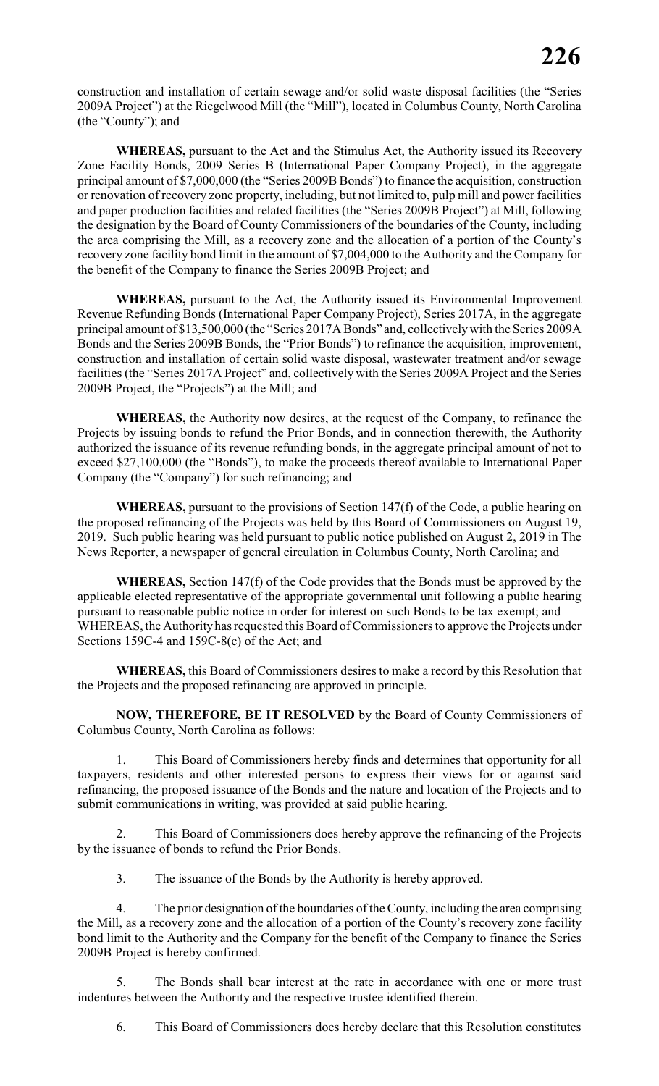construction and installation of certain sewage and/or solid waste disposal facilities (the "Series 2009A Project") at the Riegelwood Mill (the "Mill"), located in Columbus County, North Carolina (the "County"); and

**WHEREAS,** pursuant to the Act and the Stimulus Act, the Authority issued its Recovery Zone Facility Bonds, 2009 Series B (International Paper Company Project), in the aggregate principal amount of \$7,000,000 (the "Series 2009B Bonds") to finance the acquisition, construction or renovation of recovery zone property, including, but not limited to, pulp mill and power facilities and paper production facilities and related facilities (the "Series 2009B Project") at Mill, following the designation by the Board of County Commissioners of the boundaries of the County, including the area comprising the Mill, as a recovery zone and the allocation of a portion of the County's recovery zone facility bond limit in the amount of \$7,004,000 to the Authority and the Company for the benefit of the Company to finance the Series 2009B Project; and

**WHEREAS,** pursuant to the Act, the Authority issued its Environmental Improvement Revenue Refunding Bonds (International Paper Company Project), Series 2017A, in the aggregate principal amount of \$13,500,000 (the "Series 2017A Bonds" and, collectively with the Series 2009A Bonds and the Series 2009B Bonds, the "Prior Bonds") to refinance the acquisition, improvement, construction and installation of certain solid waste disposal, wastewater treatment and/or sewage facilities (the "Series 2017A Project" and, collectively with the Series 2009A Project and the Series 2009B Project, the "Projects") at the Mill; and

**WHEREAS,** the Authority now desires, at the request of the Company, to refinance the Projects by issuing bonds to refund the Prior Bonds, and in connection therewith, the Authority authorized the issuance of its revenue refunding bonds, in the aggregate principal amount of not to exceed \$27,100,000 (the "Bonds"), to make the proceeds thereof available to International Paper Company (the "Company") for such refinancing; and

**WHEREAS,** pursuant to the provisions of Section 147(f) of the Code, a public hearing on the proposed refinancing of the Projects was held by this Board of Commissioners on August 19, 2019. Such public hearing was held pursuant to public notice published on August 2, 2019 in The News Reporter, a newspaper of general circulation in Columbus County, North Carolina; and

**WHEREAS,** Section 147(f) of the Code provides that the Bonds must be approved by the applicable elected representative of the appropriate governmental unit following a public hearing pursuant to reasonable public notice in order for interest on such Bonds to be tax exempt; and WHEREAS, the Authority has requested this Board of Commissioners to approve the Projects under Sections 159C-4 and 159C-8(c) of the Act; and

**WHEREAS,** this Board of Commissioners desires to make a record by this Resolution that the Projects and the proposed refinancing are approved in principle.

**NOW, THEREFORE, BE IT RESOLVED** by the Board of County Commissioners of Columbus County, North Carolina as follows:

1. This Board of Commissioners hereby finds and determines that opportunity for all taxpayers, residents and other interested persons to express their views for or against said refinancing, the proposed issuance of the Bonds and the nature and location of the Projects and to submit communications in writing, was provided at said public hearing.

2. This Board of Commissioners does hereby approve the refinancing of the Projects by the issuance of bonds to refund the Prior Bonds.

3. The issuance of the Bonds by the Authority is hereby approved.

4. The prior designation of the boundaries of the County, including the area comprising the Mill, as a recovery zone and the allocation of a portion of the County's recovery zone facility bond limit to the Authority and the Company for the benefit of the Company to finance the Series 2009B Project is hereby confirmed.

5. The Bonds shall bear interest at the rate in accordance with one or more trust indentures between the Authority and the respective trustee identified therein.

6. This Board of Commissioners does hereby declare that this Resolution constitutes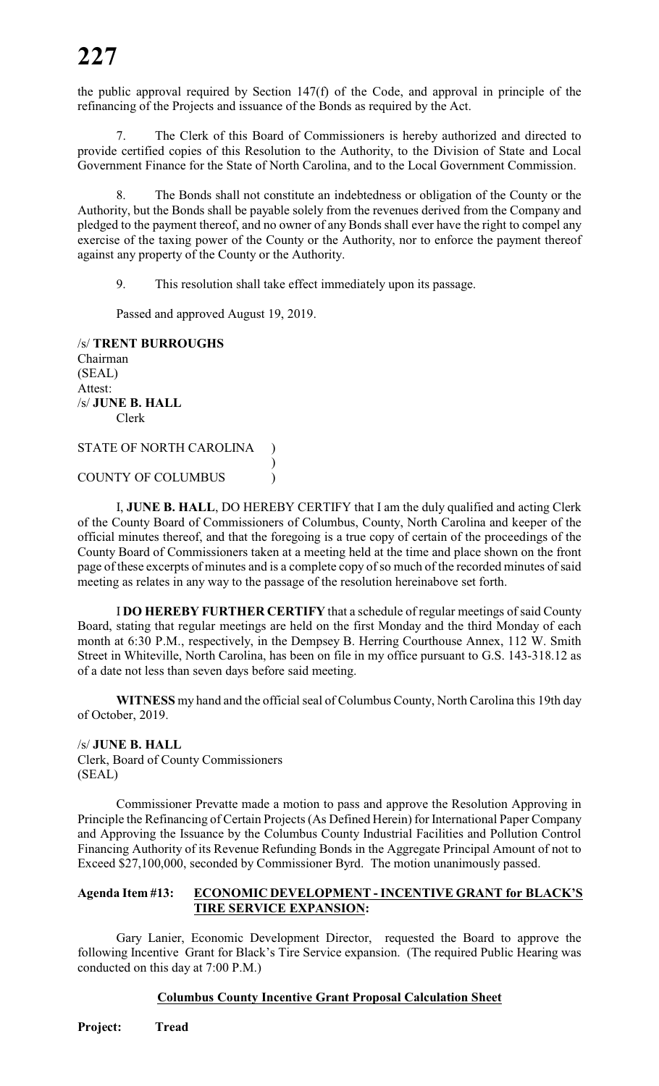the public approval required by Section 147(f) of the Code, and approval in principle of the refinancing of the Projects and issuance of the Bonds as required by the Act.

7. The Clerk of this Board of Commissioners is hereby authorized and directed to provide certified copies of this Resolution to the Authority, to the Division of State and Local Government Finance for the State of North Carolina, and to the Local Government Commission.

The Bonds shall not constitute an indebtedness or obligation of the County or the Authority, but the Bonds shall be payable solely from the revenues derived from the Company and pledged to the payment thereof, and no owner of any Bonds shall ever have the right to compel any exercise of the taxing power of the County or the Authority, nor to enforce the payment thereof against any property of the County or the Authority.

9. This resolution shall take effect immediately upon its passage.

)

Passed and approved August 19, 2019.

/s/ **TRENT BURROUGHS** Chairman (SEAL) Attest: /s/ **JUNE B. HALL** Clerk STATE OF NORTH CAROLINA

COUNTY OF COLUMBUS )

I, **JUNE B. HALL**, DO HEREBY CERTIFY that I am the duly qualified and acting Clerk of the County Board of Commissioners of Columbus, County, North Carolina and keeper of the official minutes thereof, and that the foregoing is a true copy of certain of the proceedings of the County Board of Commissioners taken at a meeting held at the time and place shown on the front page of these excerpts of minutes and is a complete copy of so much of the recorded minutes of said meeting as relates in any way to the passage of the resolution hereinabove set forth.

I **DO HEREBY FURTHER CERTIFY** that a schedule of regular meetings of said County Board, stating that regular meetings are held on the first Monday and the third Monday of each month at 6:30 P.M., respectively, in the Dempsey B. Herring Courthouse Annex, 112 W. Smith Street in Whiteville, North Carolina, has been on file in my office pursuant to G.S. 143-318.12 as of a date not less than seven days before said meeting.

**WITNESS** my hand and the official seal of Columbus County, North Carolina this 19th day of October, 2019.

/s/ **JUNE B. HALL** Clerk, Board of County Commissioners (SEAL)

Commissioner Prevatte made a motion to pass and approve the Resolution Approving in Principle the Refinancing of Certain Projects (As Defined Herein) for International Paper Company and Approving the Issuance by the Columbus County Industrial Facilities and Pollution Control Financing Authority of its Revenue Refunding Bonds in the Aggregate Principal Amount of not to Exceed \$27,100,000, seconded by Commissioner Byrd. The motion unanimously passed.

#### **Agenda Item #13: ECONOMIC DEVELOPMENT - INCENTIVE GRANT for BLACK'S TIRE SERVICE EXPANSION:**

Gary Lanier, Economic Development Director, requested the Board to approve the following Incentive Grant for Black's Tire Service expansion. (The required Public Hearing was conducted on this day at 7:00 P.M.)

#### **Columbus County Incentive Grant Proposal Calculation Sheet**

**Project: Tread**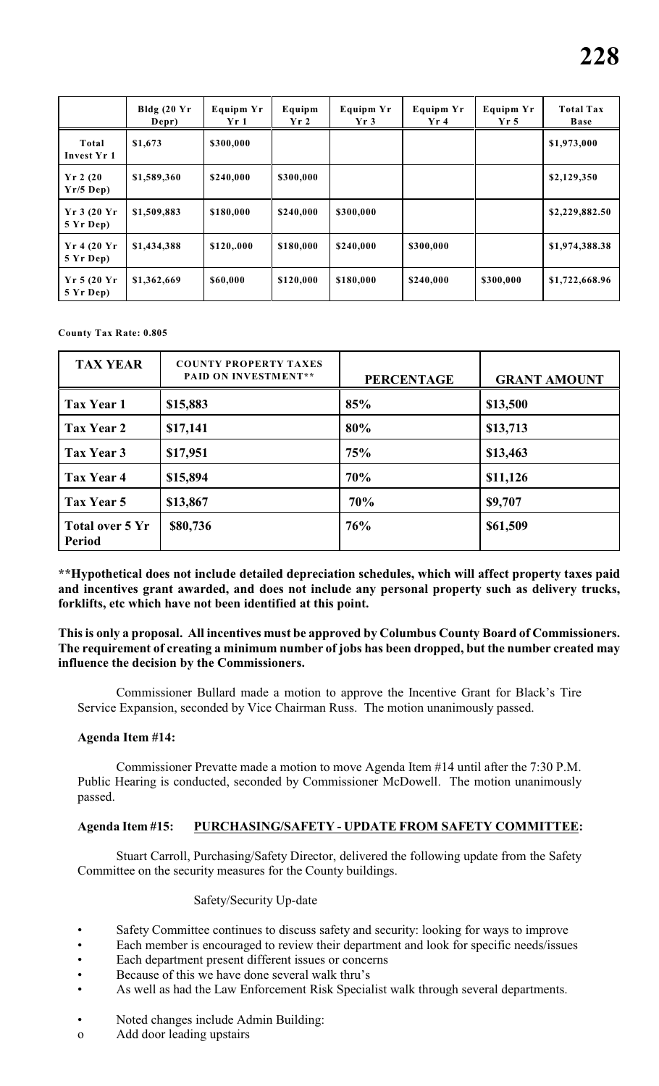|                              | Bldg $(20 \text{ Yr})$<br>Depr) | <b>Equipm Yr</b><br>Yr 1 | Equipm<br>Yr2 | <b>Equipm Yr</b><br>Yr3 | <b>Equipm Yr</b><br>Yr4 | <b>Equipm Yr</b><br>Yr <sub>5</sub> | <b>Total Tax</b><br><b>Base</b> |
|------------------------------|---------------------------------|--------------------------|---------------|-------------------------|-------------------------|-------------------------------------|---------------------------------|
| Total<br>Invest Yr 1         | \$1,673                         | \$300,000                |               |                         |                         |                                     | \$1,973,000                     |
| $Yr$ 2 (20<br>$Yr/5$ Dep)    | \$1,589,360                     | \$240,000                | \$300,000     |                         |                         |                                     | \$2,129,350                     |
| Yr3(20 Yr)<br>5 Yr Dep)      | \$1,509,883                     | \$180,000                | \$240,000     | \$300,000               |                         |                                     | \$2,229,882.50                  |
| $Yr$ 4 (20 $Yr$<br>5 Yr Dep) | \$1,434,388                     | \$120,.000               | \$180,000     | \$240,000               | \$300,000               |                                     | \$1,974,388.38                  |
| $Yr$ 5 (20 $Yr$<br>5 Yr Dep) | \$1,362,669                     | \$60,000                 | \$120,000     | \$180,000               | \$240,000               | \$300,000                           | \$1,722,668.96                  |

**County Tax Rate: 0.805**

| <b>TAX YEAR</b>                  | <b>COUNTY PROPERTY TAXES</b><br><b>PAID ON INVESTMENT**</b> | <b>PERCENTAGE</b> | <b>GRANT AMOUNT</b> |
|----------------------------------|-------------------------------------------------------------|-------------------|---------------------|
| Tax Year 1                       | \$15,883                                                    | 85%               | \$13,500            |
| Tax Year 2                       | \$17,141                                                    | 80%               | \$13,713            |
| Tax Year 3                       | \$17,951                                                    | 75%               | \$13,463            |
| Tax Year 4                       | \$15,894                                                    | 70%               | \$11,126            |
| Tax Year 5                       | \$13,867                                                    | 70%               | \$9,707             |
| Total over 5 Yr<br><b>Period</b> | \$80,736                                                    | 76%               | \$61,509            |

**\*\*Hypothetical does not include detailed depreciation schedules, which will affect property taxes paid and incentives grant awarded, and does not include any personal property such as delivery trucks, forklifts, etc which have not been identified at this point.**

**This is only a proposal. All incentives must be approved by Columbus County Board of Commissioners. The requirement of creating a minimum number of jobs has been dropped, but the number created may influence the decision by the Commissioners.**

Commissioner Bullard made a motion to approve the Incentive Grant for Black's Tire Service Expansion, seconded by Vice Chairman Russ. The motion unanimously passed.

#### **Agenda Item #14:**

Commissioner Prevatte made a motion to move Agenda Item #14 until after the 7:30 P.M. Public Hearing is conducted, seconded by Commissioner McDowell. The motion unanimously passed.

#### **Agenda Item #15: PURCHASING/SAFETY - UPDATE FROM SAFETY COMMITTEE:**

Stuart Carroll, Purchasing/Safety Director, delivered the following update from the Safety Committee on the security measures for the County buildings.

#### Safety/Security Up-date

- Safety Committee continues to discuss safety and security: looking for ways to improve
- Each member is encouraged to review their department and look for specific needs/issues
- Each department present different issues or concerns
- Because of this we have done several walk thru's
- As well as had the Law Enforcement Risk Specialist walk through several departments.
- Noted changes include Admin Building:
- o Add door leading upstairs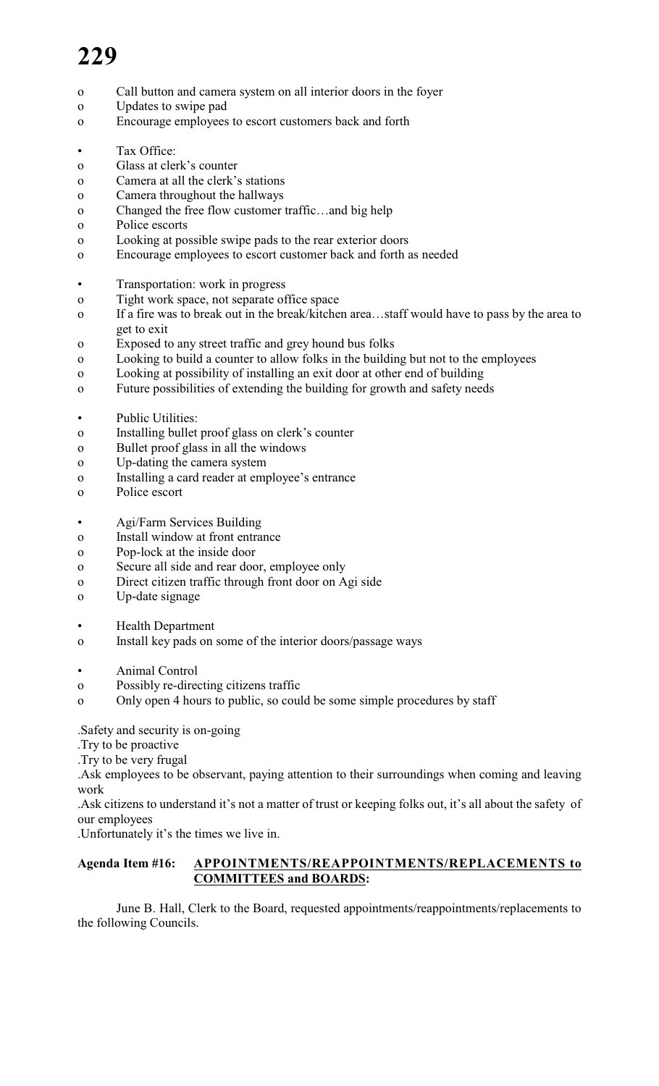- o Call button and camera system on all interior doors in the foyer
- o Updates to swipe pad
- o Encourage employees to escort customers back and forth
- Tax Office:
- o Glass at clerk's counter
- o Camera at all the clerk's stations
- o Camera throughout the hallways
- o Changed the free flow customer traffic…and big help
- o Police escorts
- o Looking at possible swipe pads to the rear exterior doors
- o Encourage employees to escort customer back and forth as needed
- Transportation: work in progress
- o Tight work space, not separate office space
- o If a fire was to break out in the break/kitchen area…staff would have to pass by the area to get to exit
- o Exposed to any street traffic and grey hound bus folks
- o Looking to build a counter to allow folks in the building but not to the employees
- o Looking at possibility of installing an exit door at other end of building
- o Future possibilities of extending the building for growth and safety needs
- Public Utilities:
- o Installing bullet proof glass on clerk's counter
- o Bullet proof glass in all the windows
- o Up-dating the camera system
- o Installing a card reader at employee's entrance
- o Police escort
- Agi/Farm Services Building
- o Install window at front entrance
- o Pop-lock at the inside door
- o Secure all side and rear door, employee only
- o Direct citizen traffic through front door on Agi side
- o Up-date signage
- Health Department
- o Install key pads on some of the interior doors/passage ways
- Animal Control
- o Possibly re-directing citizens traffic
- o Only open 4 hours to public, so could be some simple procedures by staff

.Safety and security is on-going

- .Try to be proactive
- .Try to be very frugal

.Ask employees to be observant, paying attention to their surroundings when coming and leaving work

.Ask citizens to understand it's not a matter of trust or keeping folks out, it's all about the safety of our employees

.Unfortunately it's the times we live in.

# **Agenda Item #16: APPOINTMENTS/REAPPOINTMENTS/REPLACEMENTS to COMMITTEES and BOARDS:**

June B. Hall, Clerk to the Board, requested appointments/reappointments/replacements to the following Councils.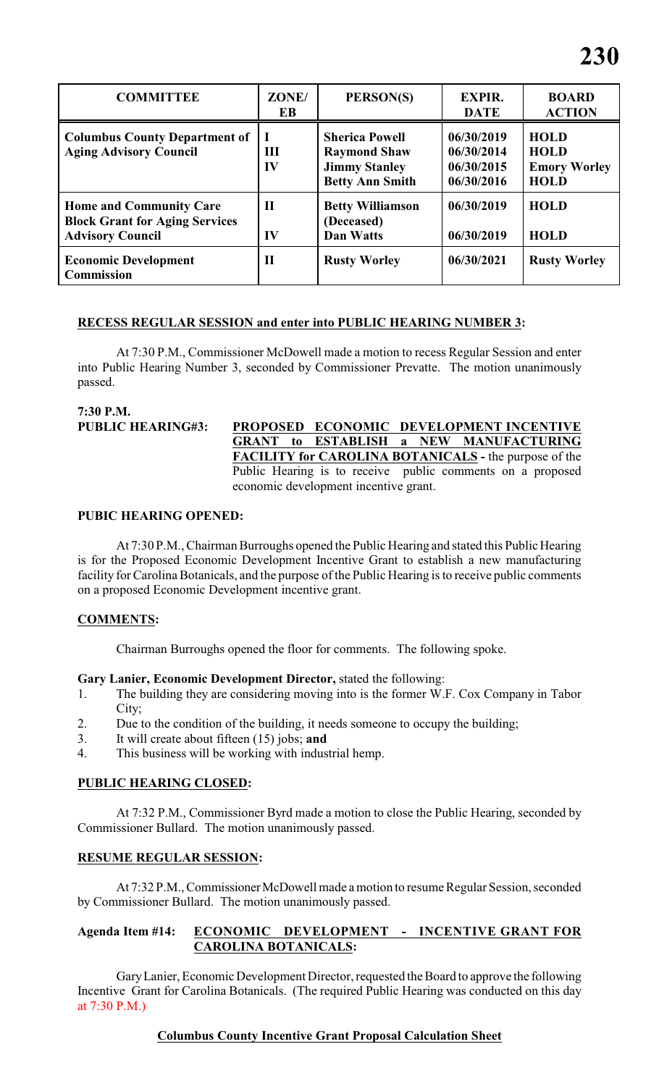| <b>COMMITTEE</b>                                                                                   | ZONE/<br>EB                  | PERSON(S)                                                                                      | <b>EXPIR.</b><br><b>DATE</b>                         | <b>BOARD</b><br><b>ACTION</b>                                    |
|----------------------------------------------------------------------------------------------------|------------------------------|------------------------------------------------------------------------------------------------|------------------------------------------------------|------------------------------------------------------------------|
| <b>Columbus County Department of</b><br><b>Aging Advisory Council</b>                              | Ш<br>IV                      | <b>Sherica Powell</b><br><b>Raymond Shaw</b><br><b>Jimmy Stanley</b><br><b>Betty Ann Smith</b> | 06/30/2019<br>06/30/2014<br>06/30/2015<br>06/30/2016 | <b>HOLD</b><br><b>HOLD</b><br><b>Emory Worley</b><br><b>HOLD</b> |
| <b>Home and Community Care</b><br><b>Block Grant for Aging Services</b><br><b>Advisory Council</b> | $\mathbf H$<br>$\mathbf{IV}$ | <b>Betty Williamson</b><br>(Deceased)<br>Dan Watts                                             | 06/30/2019<br>06/30/2019                             | <b>HOLD</b><br><b>HOLD</b>                                       |
| <b>Economic Development</b><br><b>Commission</b>                                                   | П                            | <b>Rusty Worley</b>                                                                            | 06/30/2021                                           | <b>Rusty Worley</b>                                              |

#### **RECESS REGULAR SESSION and enter into PUBLIC HEARING NUMBER 3:**

At 7:30 P.M., Commissioner McDowell made a motion to recess Regular Session and enter into Public Hearing Number 3, seconded by Commissioner Prevatte. The motion unanimously passed.

**7:30 P.M.**

**PUBLIC HEARING#3: PROPOSED ECONOMIC DEVELOPMENT INCENTIVE GRANT to ESTABLISH a NEW MANUFACTURING FACILITY for CAROLINA BOTANICALS -** the purpose of the Public Hearing is to receive public comments on a proposed economic development incentive grant.

#### **PUBIC HEARING OPENED:**

At 7:30 P.M., Chairman Burroughs opened the Public Hearing and stated this Public Hearing is for the Proposed Economic Development Incentive Grant to establish a new manufacturing facility for Carolina Botanicals, and the purpose of the Public Hearing is to receive public comments on a proposed Economic Development incentive grant.

# **COMMENTS:**

Chairman Burroughs opened the floor for comments. The following spoke.

#### **Gary Lanier, Economic Development Director,** stated the following:

- 1. The building they are considering moving into is the former W.F. Cox Company in Tabor City;
- 2. Due to the condition of the building, it needs someone to occupy the building;
- 3. It will create about fifteen (15) jobs; **and**
- 4. This business will be working with industrial hemp.

# **PUBLIC HEARING CLOSED:**

At 7:32 P.M., Commissioner Byrd made a motion to close the Public Hearing, seconded by Commissioner Bullard. The motion unanimously passed.

# **RESUME REGULAR SESSION:**

At 7:32 P.M., Commissioner McDowell made a motion to resume Regular Session, seconded by Commissioner Bullard. The motion unanimously passed.

# **Agenda Item #14: ECONOMIC DEVELOPMENT - INCENTIVE GRANT FOR CAROLINA BOTANICALS:**

Gary Lanier, Economic Development Director, requested the Board to approve the following Incentive Grant for Carolina Botanicals. (The required Public Hearing was conducted on this day at 7:30 P.M.)

# **Columbus County Incentive Grant Proposal Calculation Sheet**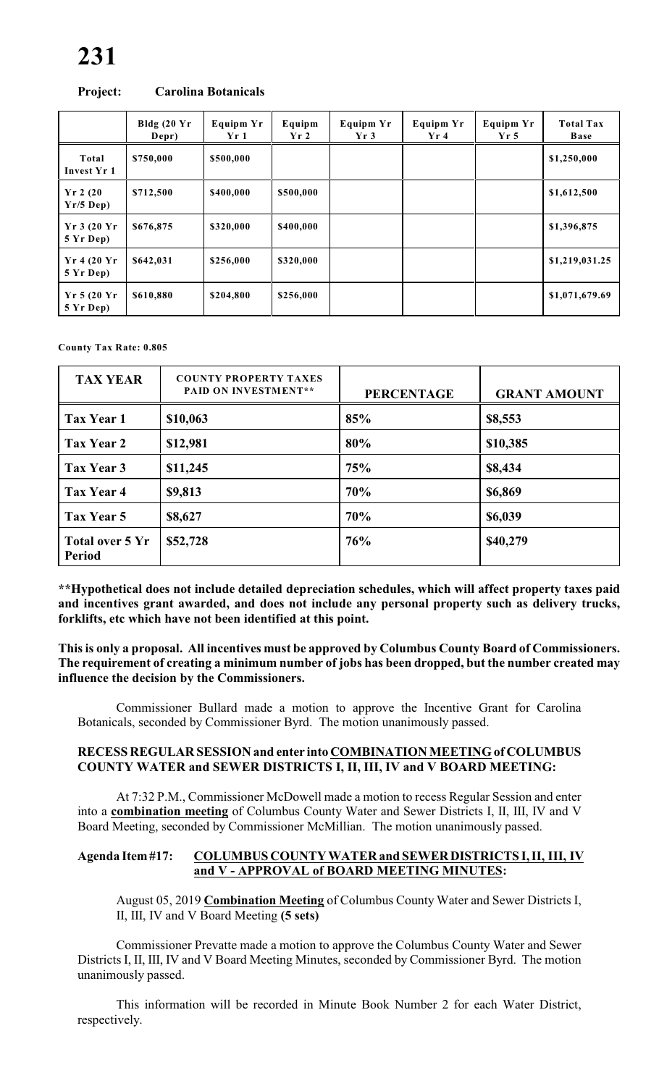|                              | Bldg $(20$ Yr<br>Depr) | <b>Equipm Yr</b><br>Yr1 | Equipm<br>Yr2 | Equipm Yr<br>Yr3 | <b>Equipm Yr</b><br>Yr 4 | <b>Equipm Yr</b><br>Yr <sub>5</sub> | <b>Total Tax</b><br>Base |
|------------------------------|------------------------|-------------------------|---------------|------------------|--------------------------|-------------------------------------|--------------------------|
| Total<br>Invest Yr 1         | \$750,000              | \$500,000               |               |                  |                          |                                     | \$1,250,000              |
| $Yr$ 2 (20<br>$Yr/5$ Dep)    | \$712,500              | \$400,000               | \$500,000     |                  |                          |                                     | \$1,612,500              |
| Yr3(20 Yr)<br>5 Yr Dep)      | \$676,875              | \$320,000               | \$400,000     |                  |                          |                                     | \$1,396,875              |
| $Yr$ 4 (20 $Yr$<br>5 Yr Dep) | \$642,031              | \$256,000               | \$320,000     |                  |                          |                                     | \$1,219,031.25           |
| Yr 5(20 Yr)<br>5 Yr Dep)     | \$610,880              | \$204,800               | \$256,000     |                  |                          |                                     | \$1,071,679.69           |

#### **Project: Carolina Botanicals**

**County Tax Rate: 0.805**

| <b>TAX YEAR</b>                  | <b>COUNTY PROPERTY TAXES</b><br><b>PAID ON INVESTMENT**</b> | <b>PERCENTAGE</b> | <b>GRANT AMOUNT</b> |
|----------------------------------|-------------------------------------------------------------|-------------------|---------------------|
| Tax Year 1                       | \$10,063                                                    | 85%               | \$8,553             |
| Tax Year 2                       | \$12,981                                                    | 80%               | \$10,385            |
| Tax Year 3                       | \$11,245                                                    | 75%               | \$8,434             |
| Tax Year 4                       | \$9,813                                                     | 70%               | \$6,869             |
| Tax Year 5                       | \$8,627                                                     | 70%               | \$6,039             |
| Total over 5 Yr<br><b>Period</b> | \$52,728                                                    | 76%               | \$40,279            |

**\*\*Hypothetical does not include detailed depreciation schedules, which will affect property taxes paid and incentives grant awarded, and does not include any personal property such as delivery trucks, forklifts, etc which have not been identified at this point.**

**This is only a proposal. All incentives must be approved by Columbus County Board of Commissioners. The requirement of creating a minimum number of jobs has been dropped, but the number created may influence the decision by the Commissioners.**

Commissioner Bullard made a motion to approve the Incentive Grant for Carolina Botanicals, seconded by Commissioner Byrd. The motion unanimously passed.

#### **RECESS REGULAR SESSION and enter into COMBINATION MEETING of COLUMBUS COUNTY WATER and SEWER DISTRICTS I, II, III, IV and V BOARD MEETING:**

At 7:32 P.M., Commissioner McDowell made a motion to recess Regular Session and enter into a **combination meeting** of Columbus County Water and Sewer Districts I, II, III, IV and V Board Meeting, seconded by Commissioner McMillian. The motion unanimously passed.

#### **Agenda Item #17: COLUMBUS COUNTY WATER and SEWER DISTRICTS I, II, III, IV and V - APPROVAL of BOARD MEETING MINUTES:**

August 05, 2019 **Combination Meeting** of Columbus County Water and Sewer Districts I, II, III, IV and V Board Meeting **(5 sets)**

Commissioner Prevatte made a motion to approve the Columbus County Water and Sewer Districts I, II, III, IV and V Board Meeting Minutes, seconded by Commissioner Byrd. The motion unanimously passed.

This information will be recorded in Minute Book Number 2 for each Water District, respectively.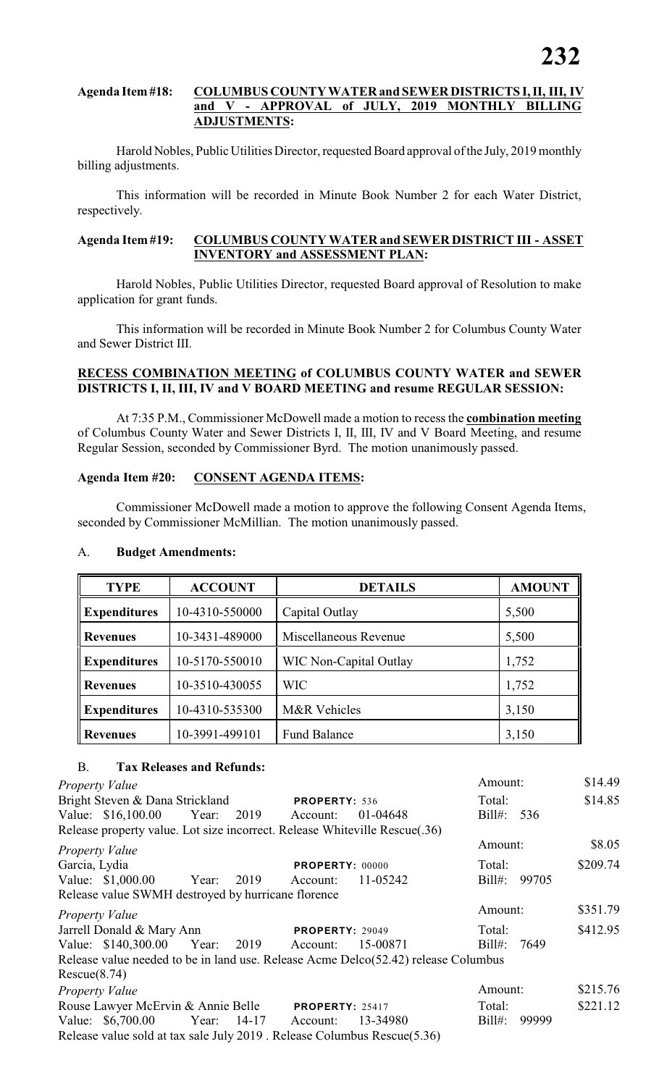#### **Agenda Item #18: COLUMBUS COUNTY WATER and SEWER DISTRICTS I, II, III, IV and V - APPROVAL of JULY, 2019 MONTHLY BILLING ADJUSTMENTS:**

Harold Nobles, Public Utilities Director, requested Board approval of the July, 2019 monthly billing adjustments.

This information will be recorded in Minute Book Number 2 for each Water District, respectively.

#### **Agenda Item #19: COLUMBUS COUNTY WATER and SEWER DISTRICT III - ASSET INVENTORY and ASSESSMENT PLAN:**

Harold Nobles, Public Utilities Director, requested Board approval of Resolution to make application for grant funds.

This information will be recorded in Minute Book Number 2 for Columbus County Water and Sewer District III.

#### **RECESS COMBINATION MEETING of COLUMBUS COUNTY WATER and SEWER DISTRICTS I, II, III, IV and V BOARD MEETING and resume REGULAR SESSION:**

At 7:35 P.M., Commissioner McDowell made a motion to recess the **combination meeting** of Columbus County Water and Sewer Districts I, II, III, IV and V Board Meeting, and resume Regular Session, seconded by Commissioner Byrd. The motion unanimously passed.

# **Agenda Item #20: CONSENT AGENDA ITEMS:**

Commissioner McDowell made a motion to approve the following Consent Agenda Items, seconded by Commissioner McMillian. The motion unanimously passed.

| <b>TYPE</b>         | <b>ACCOUNT</b> | <b>DETAILS</b>                | <b>AMOUNT</b> |
|---------------------|----------------|-------------------------------|---------------|
| <b>Expenditures</b> | 10-4310-550000 | Capital Outlay                | 5,500         |
| <b>Revenues</b>     | 10-3431-489000 | Miscellaneous Revenue         | 5,500         |
| <b>Expenditures</b> | 10-5170-550010 | <b>WIC Non-Capital Outlay</b> | 1,752         |
| <b>Revenues</b>     | 10-3510-430055 | <b>WIC</b>                    | 1,752         |
| <b>Expenditures</b> | 10-4310-535300 | M&R Vehicles                  | 3,150         |
| <b>Revenues</b>     | 10-3991-499101 | <b>Fund Balance</b>           | 3,150         |

#### A. **Budget Amendments:**

#### B. **Tax Releases and Refunds:**

| Property Value                                                                     |  |                        |          | Amount:         |       | \$14.49  |
|------------------------------------------------------------------------------------|--|------------------------|----------|-----------------|-------|----------|
| Bright Steven & Dana Strickland                                                    |  | PROPERTY: 536          |          | Total:          |       | \$14.85  |
| Value: \$16,100.00 Year: 2019 Account:                                             |  |                        | 01-04648 | Bill#: 536      |       |          |
| Release property value. Lot size incorrect. Release Whiteville Rescue(.36)         |  |                        |          |                 |       |          |
| Property Value                                                                     |  |                        |          | Amount:         |       | \$8.05   |
| Garcia, Lydia                                                                      |  | <b>PROPERTY: 00000</b> |          | Total:          |       | \$209.74 |
| Value: \$1,000.00 Year: 2019                                                       |  | Account:               | 11-05242 | $\text{Bill}$ : | 99705 |          |
| Release value SWMH destroyed by hurricane florence                                 |  |                        |          |                 |       |          |
| <b>Property Value</b>                                                              |  |                        |          | Amount:         |       | \$351.79 |
| Jarrell Donald & Mary Ann                                                          |  | <b>PROPERTY: 29049</b> |          | Total:          |       | \$412.95 |
| Value: \$140,300.00 Year: 2019 Account:                                            |  |                        | 15-00871 | Bill#: 7649     |       |          |
| Release value needed to be in land use. Release Acme Delco(52.42) release Columbus |  |                        |          |                 |       |          |
| Rescue(8.74)                                                                       |  |                        |          |                 |       |          |
| Property Value                                                                     |  |                        |          | Amount:         |       | \$215.76 |
| Rouse Lawyer McErvin & Annie Belle PROPERTY: 25417                                 |  |                        |          | Total:          |       | \$221.12 |
| Value: \$6,700.00 Year: 14-17 Account:                                             |  |                        | 13-34980 | $Bill#$ :       | 99999 |          |
| Release value sold at tax sale July 2019. Release Columbus Rescue(5.36)            |  |                        |          |                 |       |          |
|                                                                                    |  |                        |          |                 |       |          |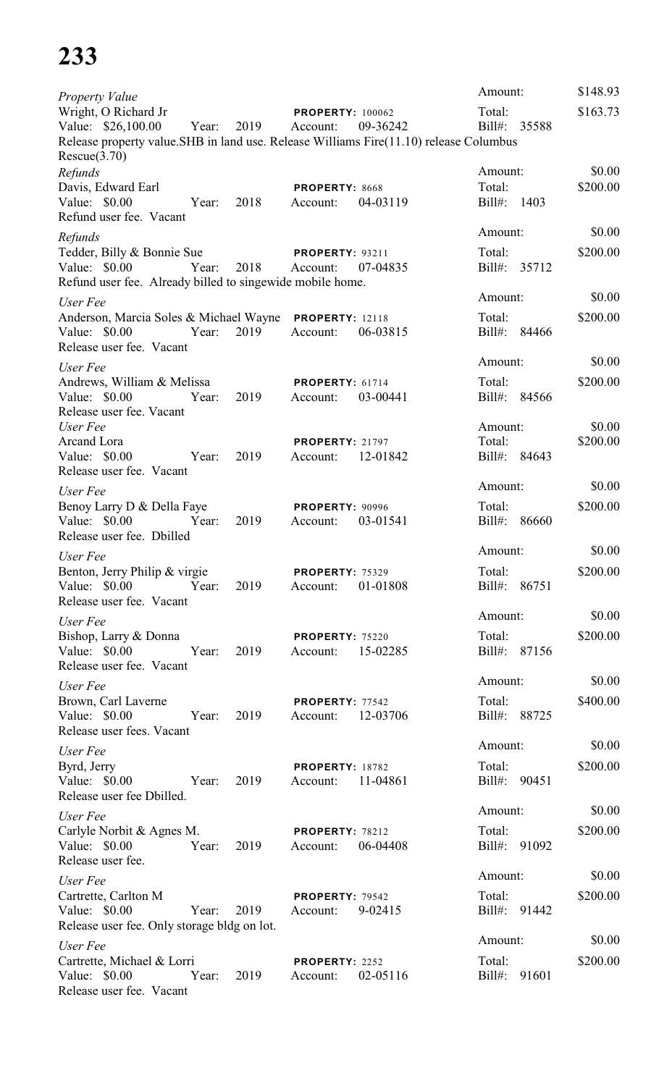| <b>Property Value</b>                                                                                  |      |                                     |          | Amount:                      | \$148.93 |
|--------------------------------------------------------------------------------------------------------|------|-------------------------------------|----------|------------------------------|----------|
| Wright, O Richard Jr<br>Value: \$26,100.00<br>Year:                                                    | 2019 | <b>PROPERTY: 100062</b><br>Account: | 09-36242 | Total:<br>Bill#: 35588       | \$163.73 |
| Release property value. SHB in land use. Release Williams Fire(11.10) release Columbus<br>Rescue(3.70) |      |                                     |          |                              |          |
| Refunds                                                                                                |      |                                     |          | Amount:                      | \$0.00   |
| Davis, Edward Earl                                                                                     |      | PROPERTY: 8668                      |          | Total:                       | \$200.00 |
| Value: \$0.00<br>Year:                                                                                 | 2018 | Account:                            | 04-03119 | Bill#:<br>1403               |          |
| Refund user fee. Vacant                                                                                |      |                                     |          | Amount:                      | \$0.00   |
| Refunds                                                                                                |      |                                     |          | Total:                       | \$200.00 |
| Tedder, Billy & Bonnie Sue<br>Value: \$0.00<br>Year:                                                   | 2018 | <b>PROPERTY: 93211</b><br>Account:  | 07-04835 | Bill#: 35712                 |          |
| Refund user fee. Already billed to singewide mobile home.                                              |      |                                     |          |                              |          |
| User Fee                                                                                               |      |                                     |          | Amount:                      | \$0.00   |
| Anderson, Marcia Soles & Michael Wayne                                                                 |      | <b>PROPERTY: 12118</b>              |          | Total:                       | \$200.00 |
| Value: $$0.00$<br>Year:                                                                                | 2019 | Account:                            | 06-03815 | Bill#: 84466                 |          |
| Release user fee. Vacant                                                                               |      |                                     |          | Amount:                      |          |
| User Fee                                                                                               |      |                                     |          |                              | \$0.00   |
| Andrews, William & Melissa<br>Value: $$0.00$<br>Year:                                                  | 2019 | PROPERTY: 61714<br>Account:         | 03-00441 | Total:<br>Bill#: 84566       | \$200.00 |
| Release user fee. Vacant                                                                               |      |                                     |          |                              |          |
| User Fee                                                                                               |      |                                     |          | Amount:                      | \$0.00   |
| Arcand Lora                                                                                            |      | <b>PROPERTY: 21797</b>              |          | Total:                       | \$200.00 |
| Value: \$0.00<br>Year:                                                                                 | 2019 | Account:                            | 12-01842 | Bill#: 84643                 |          |
| Release user fee. Vacant                                                                               |      |                                     |          | Amount:                      | \$0.00   |
| User Fee                                                                                               |      |                                     |          |                              |          |
| Benoy Larry D & Della Faye<br>Value: \$0.00<br>Year:                                                   | 2019 | <b>PROPERTY: 90996</b><br>Account:  | 03-01541 | Total:<br>$Bill#$ :<br>86660 | \$200.00 |
| Release user fee. Dbilled                                                                              |      |                                     |          |                              |          |
| User Fee                                                                                               |      |                                     |          | Amount:                      | \$0.00   |
| Benton, Jerry Philip & virgie                                                                          |      | <b>PROPERTY: 75329</b>              |          | Total:                       | \$200.00 |
| Value: \$0.00<br>Year:                                                                                 | 2019 | Account:                            | 01-01808 | $Bill#$ :<br>86751           |          |
| Release user fee. Vacant                                                                               |      |                                     |          |                              |          |
| User Fee                                                                                               |      |                                     |          | Amount:                      | \$0.00   |
| Bishop, Larry & Donna<br>Value: \$0.00<br>Year:                                                        | 2019 | PROPERTY: 75220                     | 15-02285 | Total:<br>Bill#: 87156       | \$200.00 |
| Release user fee. Vacant                                                                               |      | Account:                            |          |                              |          |
| User Fee                                                                                               |      |                                     |          | Amount:                      | \$0.00   |
| Brown, Carl Laverne                                                                                    |      | PROPERTY: 77542                     |          | Total:                       | \$400.00 |
| Value: \$0.00<br>Year:                                                                                 | 2019 | Account:                            | 12-03706 | Bill#: 88725                 |          |
| Release user fees. Vacant                                                                              |      |                                     |          |                              |          |
| User Fee                                                                                               |      |                                     |          | Amount:                      | \$0.00   |
| Byrd, Jerry                                                                                            |      | PROPERTY: 18782                     |          | Total:                       | \$200.00 |
| Value: $$0.00$<br>Year:<br>Release user fee Dbilled.                                                   | 2019 | Account:                            | 11-04861 | Bill#: 90451                 |          |
|                                                                                                        |      |                                     |          | Amount:                      | \$0.00   |
| User Fee<br>Carlyle Norbit & Agnes M.                                                                  |      | PROPERTY: 78212                     |          | Total:                       | \$200.00 |
| Value: \$0.00<br>Year:                                                                                 | 2019 | Account:                            | 06-04408 | Bill#: 91092                 |          |
| Release user fee.                                                                                      |      |                                     |          |                              |          |
| User Fee                                                                                               |      |                                     |          | Amount:                      | \$0.00   |
| Cartrette, Carlton M                                                                                   |      | PROPERTY: 79542                     |          | Total:                       | \$200.00 |
| Value: \$0.00<br>Year:                                                                                 | 2019 | Account:                            | 9-02415  | Bill#:<br>91442              |          |
| Release user fee. Only storage bldg on lot.                                                            |      |                                     |          | Amount:                      | \$0.00   |
| User Fee                                                                                               |      |                                     |          | Total:                       | \$200.00 |
| Cartrette, Michael & Lorri<br>Value: $$0.00$<br>Year:                                                  | 2019 | PROPERTY: 2252<br>Account:          | 02-05116 | Bill#:<br>91601              |          |
| Release user fee. Vacant                                                                               |      |                                     |          |                              |          |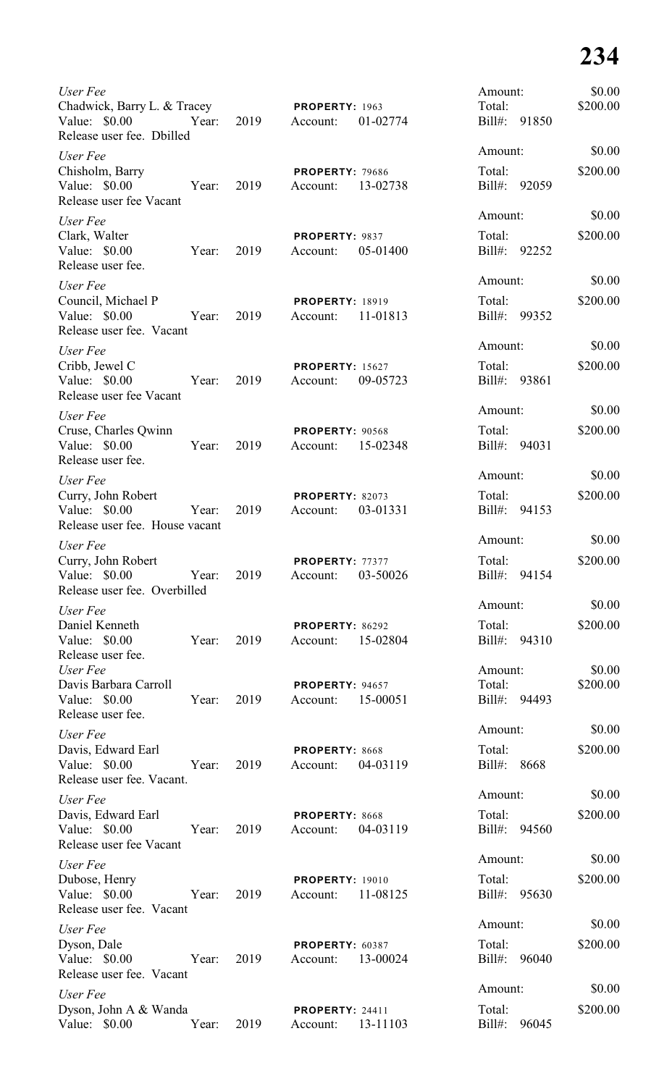| User Fee<br>Chadwick, Barry L. & Tracey<br>Value: \$0.00<br>Release user fee. Dbilled | Year: | 2019 | PROPERTY: 1963<br>Account:         | 01-02774 | Amount:<br>Total:<br>Bill#: 91850 | \$0.00<br>\$200.00 |
|---------------------------------------------------------------------------------------|-------|------|------------------------------------|----------|-----------------------------------|--------------------|
| User Fee                                                                              |       |      |                                    |          | Amount:                           | \$0.00             |
| Chisholm, Barry<br>Value: \$0.00<br>Release user fee Vacant                           | Year: | 2019 | <b>PROPERTY: 79686</b><br>Account: | 13-02738 | Total:<br>Bill#: 92059            | \$200.00           |
| User Fee                                                                              |       |      |                                    |          | Amount:                           | \$0.00             |
| Clark, Walter<br>Value: \$0.00<br>Release user fee.                                   | Year: | 2019 | PROPERTY: 9837<br>Account:         | 05-01400 | Total:<br>Bill#: 92252            | \$200.00           |
| User Fee                                                                              |       |      |                                    |          | Amount:                           | \$0.00             |
| Council, Michael P<br>Value: \$0.00<br>Release user fee. Vacant                       | Year: | 2019 | <b>PROPERTY: 18919</b><br>Account: | 11-01813 | Total:<br>Bill#: 99352            | \$200.00           |
| User Fee                                                                              |       |      |                                    |          | Amount:                           | \$0.00             |
| Cribb, Jewel C<br>Value: \$0.00<br>Release user fee Vacant                            | Year: | 2019 | <b>PROPERTY: 15627</b><br>Account: | 09-05723 | Total:<br>Bill#:                  | \$200.00<br>93861  |
| User Fee                                                                              |       |      |                                    |          | Amount:                           | \$0.00             |
| Cruse, Charles Qwinn<br>Value: $$0.00$<br>Release user fee.                           | Year: | 2019 | <b>PROPERTY: 90568</b><br>Account: | 15-02348 | Total:<br>Bill#: 94031            | \$200.00           |
| User Fee                                                                              |       |      |                                    |          | Amount:                           | \$0.00             |
| Curry, John Robert<br>Value: $$0.00$<br>Release user fee. House vacant                | Year: | 2019 | PROPERTY: 82073<br>Account:        | 03-01331 | Total:<br>Bill#:                  | \$200.00<br>94153  |
| User Fee                                                                              |       |      |                                    |          | Amount:                           | \$0.00             |
| Curry, John Robert<br>Value: \$0.00<br>Release user fee. Overbilled                   | Year: | 2019 | PROPERTY: 77377<br>Account:        | 03-50026 | Total:<br>$Bill#$ :               | \$200.00<br>94154  |
| User Fee                                                                              |       |      |                                    |          | Amount:                           | \$0.00             |
| Daniel Kenneth<br>Value: \$0.00<br>Release user fee.                                  | Year: | 2019 | <b>PROPERTY: 86292</b><br>Account: | 15-02804 | Total:<br>Bill#:                  | \$200.00<br>94310  |
| User Fee                                                                              |       |      |                                    |          | Amount:                           | \$0.00             |
| Davis Barbara Carroll<br>Value: \$0.00<br>Release user fee.                           | Year: | 2019 | PROPERTY: 94657<br>Account:        | 15-00051 | Total:<br>Bill#:                  | \$200.00<br>94493  |
| User Fee                                                                              |       |      |                                    |          | Amount:                           | \$0.00             |
| Davis, Edward Earl<br>Value: \$0.00<br>Release user fee. Vacant.                      | Year: | 2019 | PROPERTY: 8668<br>Account:         | 04-03119 | Total:<br>Bill#:                  | \$200.00<br>8668   |
| User Fee                                                                              |       |      |                                    |          | Amount:                           | \$0.00             |
| Davis, Edward Earl<br>Value: $$0.00$<br>Release user fee Vacant                       | Year: | 2019 | PROPERTY: 8668<br>Account:         | 04-03119 | Total:<br>Bill#:                  | \$200.00<br>94560  |
| User Fee                                                                              |       |      |                                    |          | Amount:                           | \$0.00             |
| Dubose, Henry<br>Value: \$0.00<br>Release user fee. Vacant                            | Year: | 2019 | <b>PROPERTY: 19010</b><br>Account: | 11-08125 | Total:<br>Bill#:                  | \$200.00<br>95630  |
| User Fee                                                                              |       |      |                                    |          | Amount:                           | \$0.00             |
| Dyson, Dale<br>Value: \$0.00<br>Release user fee. Vacant                              | Year: | 2019 | PROPERTY: 60387<br>Account:        | 13-00024 | Total:<br>Bill#: 96040            | \$200.00           |
| User Fee                                                                              |       |      |                                    |          | Amount:                           | \$0.00             |
| Dyson, John A & Wanda<br>Value: \$0.00                                                | Year: | 2019 | <b>PROPERTY: 24411</b><br>Account: | 13-11103 | Total:<br>Bill#:                  | \$200.00<br>96045  |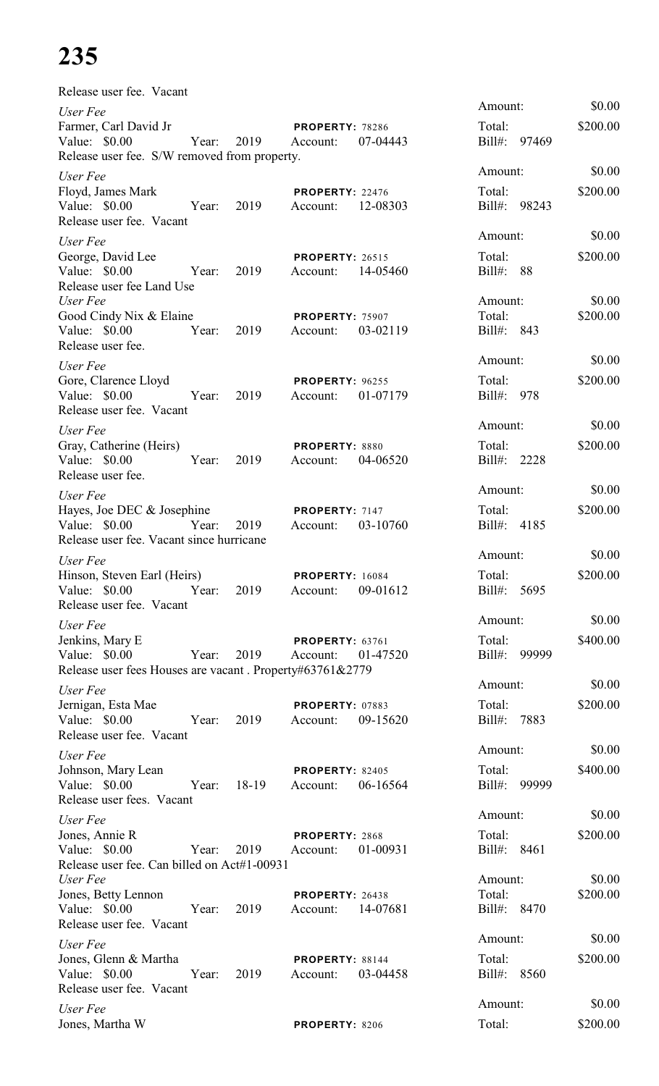| Release user fee. Vacant                                                                                          |            |       |                                             |          |                                   |                    |
|-------------------------------------------------------------------------------------------------------------------|------------|-------|---------------------------------------------|----------|-----------------------------------|--------------------|
| User Fee<br>Farmer, Carl David Jr<br>Value: \$0.00<br>Release user fee. S/W removed from property.                | Year: 2019 |       | <b>PROPERTY: 78286</b><br>Account:          | 07-04443 | Amount:<br>Total:<br>Bill#: 97469 | \$0.00<br>\$200.00 |
| User Fee<br>Floyd, James Mark<br>Value: \$0.00<br>Release user fee. Vacant                                        | Year:      | 2019  | PROPERTY: 22476<br>Account: 12-08303        |          | Amount:<br>Total:<br>Bill#: 98243 | \$0.00<br>\$200.00 |
| User Fee<br>George, David Lee<br>Value: \$0.00<br>Release user fee Land Use                                       | Year:      | 2019  | <b>PROPERTY: 26515</b><br>Account: 14-05460 |          | Amount:<br>Total:<br>Bill#: 88    | \$0.00<br>\$200.00 |
| User Fee<br>Good Cindy Nix & Elaine<br>Value: \$0.00<br>Release user fee.                                         | Year:      | 2019  | PROPERTY: 75907<br>Account:                 | 03-02119 | Amount:<br>Total:<br>Bill#: 843   | \$0.00<br>\$200.00 |
| User Fee<br>Gore, Clarence Lloyd<br>Value: \$0.00<br>Release user fee. Vacant                                     | Year:      | 2019  | PROPERTY: 96255<br>Account:                 | 01-07179 | Amount:<br>Total:<br>Bill#: 978   | \$0.00<br>\$200.00 |
| User Fee<br>Gray, Catherine (Heirs)<br>Value: \$0.00<br>Release user fee.                                         | Year:      | 2019  | PROPERTY: 8880<br>Account:                  | 04-06520 | Amount:<br>Total:<br>Bill#: 2228  | \$0.00<br>\$200.00 |
| User Fee<br>Hayes, Joe DEC & Josephine<br>Value: \$0.00<br>Release user fee. Vacant since hurricane               | Year:      | 2019  | PROPERTY: 7147<br>Account:                  | 03-10760 | Amount:<br>Total:<br>Bill#: 4185  | \$0.00<br>\$200.00 |
| User Fee<br>Hinson, Steven Earl (Heirs)<br>Value: \$0.00 Year: 2019<br>Release user fee. Vacant                   |            |       | <b>PROPERTY: 16084</b><br>Account:          | 09-01612 | Amount:<br>Total:<br>Bill#: 5695  | \$0.00<br>\$200.00 |
| User Fee<br>Jenkins, Mary E<br>Value: \$0.00<br>Year:<br>Release user fees Houses are vacant. Property#63761&2779 |            | 2019  | <b>PROPERTY: 63761</b><br>Account:          | 01-47520 | Amount:<br>Total:<br>Bill#: 99999 | \$0.00<br>\$400.00 |
| User Fee<br>Jernigan, Esta Mae<br>Value: \$0.00 Year:<br>Release user fee. Vacant                                 |            | 2019  | <b>PROPERTY: 07883</b><br>Account:          | 09-15620 | Amount:<br>Total:<br>Bill#: 7883  | \$0.00<br>\$200.00 |
| User Fee<br>Johnson, Mary Lean<br>Value: \$0.00 Year:<br>Release user fees. Vacant                                |            | 18-19 | <b>PROPERTY: 82405</b><br>Account:          | 06-16564 | Amount:<br>Total:<br>Bill#: 99999 | \$0.00<br>\$400.00 |
| User Fee<br>Jones, Annie R<br>Value: \$0.00<br>Release user fee. Can billed on Act#1-00931                        | Year:      | 2019  | PROPERTY: 2868<br>Account:                  | 01-00931 | Amount:<br>Total:<br>Bill#: 8461  | \$0.00<br>\$200.00 |
| User Fee<br>Jones, Betty Lennon<br>Value: \$0.00 Year:<br>Release user fee. Vacant                                |            | 2019  | PROPERTY: 26438<br>Account: 14-07681        |          | Amount:<br>Total:<br>Bill#: 8470  | \$0.00<br>\$200.00 |
|                                                                                                                   |            |       |                                             |          | $A$ mount $\cdot$                 | \$0.00             |

\$0.00

 $$0.00$ 

\$0.00

\$0.00

\$0.00

\$0.00

\$0.00

\$0.00

\$0.00

\$0.00

\$0.00

*User Fee* Amount: \$0.00 Jones, Glenn & Martha **PROPERTY:** 88144 Total: \$200.00 Value: \$0.00 Year: 2019 Account: 03-04458 Bill#: 8560 Release user fee. Vacant *User Fee* Amount: \$0.00 Jones, Martha W **PROPERTY**: 8206 Total: \$200.00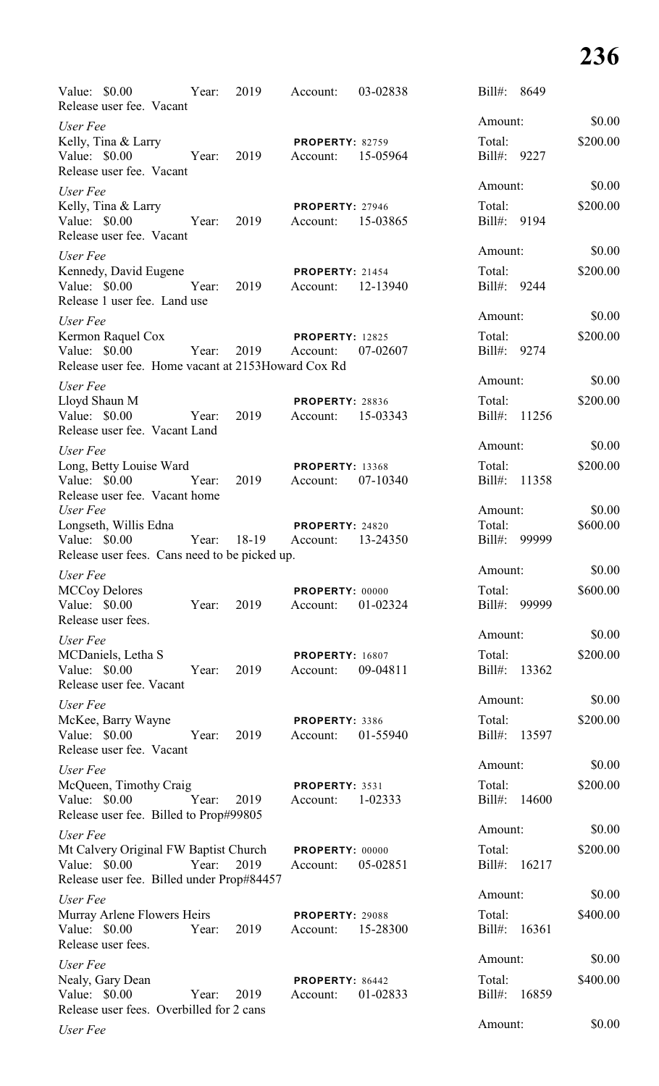| Value: \$0.00<br>Release user fee. Vacant                                                           | Year: | 2019  | Account:                           | 03-02838 | $Bill#$ :              | 8649  |          |
|-----------------------------------------------------------------------------------------------------|-------|-------|------------------------------------|----------|------------------------|-------|----------|
| User Fee                                                                                            |       |       |                                    |          | Amount:                |       | \$0.00   |
| Kelly, Tina & Larry<br>Value: \$0.00<br>Release user fee. Vacant                                    | Year: | 2019  | <b>PROPERTY: 82759</b><br>Account: | 15-05964 | Total:<br>Bill#: 9227  |       | \$200.00 |
| User Fee                                                                                            |       |       |                                    |          | Amount:                |       | \$0.00   |
| Kelly, Tina & Larry<br>Value: \$0.00<br>Release user fee. Vacant                                    | Year: | 2019  | PROPERTY: 27946<br>Account:        | 15-03865 | Total:<br>Bill#:       | 9194  | \$200.00 |
| User Fee                                                                                            |       |       |                                    |          | Amount:                |       | \$0.00   |
| Kennedy, David Eugene<br>Value: $$0.00$<br>Release 1 user fee. Land use                             | Year: | 2019  | <b>PROPERTY: 21454</b><br>Account: | 12-13940 | Total:<br>Bill#: 9244  |       | \$200.00 |
| User Fee                                                                                            |       |       |                                    |          | Amount:                |       | \$0.00   |
| Kermon Raquel Cox<br>Value: $$0.00$<br>Release user fee. Home vacant at 2153 Howard Cox Rd          | Year: | 2019  | <b>PROPERTY: 12825</b><br>Account: | 07-02607 | Total:<br>Bill#: 9274  |       | \$200.00 |
| User Fee                                                                                            |       |       |                                    |          | Amount:                |       | \$0.00   |
| Lloyd Shaun M<br>Value: \$0.00<br>Release user fee. Vacant Land                                     | Year: | 2019  | <b>PROPERTY: 28836</b><br>Account: | 15-03343 | Total:<br>$Bill#$ :    | 11256 | \$200.00 |
| User Fee                                                                                            |       |       |                                    |          | Amount:                |       | \$0.00   |
| Long, Betty Louise Ward<br>Value: \$0.00<br>Release user fee. Vacant home                           | Year: | 2019  | <b>PROPERTY: 13368</b><br>Account: | 07-10340 | Total:<br>Bill#:       | 11358 | \$200.00 |
| User Fee                                                                                            |       |       |                                    |          | Amount:                |       | \$0.00   |
| Longseth, Willis Edna<br>Value: $$0.00$<br>Release user fees. Cans need to be picked up.            | Year: | 18-19 | PROPERTY: 24820<br>Account:        | 13-24350 | Total:<br>Bill#: 99999 |       | \$600.00 |
| User Fee                                                                                            |       |       |                                    |          | Amount:                |       | \$0.00   |
| <b>MCCoy Delores</b><br>Value: \$0.00<br>Release user fees.                                         | Year: | 2019  | PROPERTY: 00000<br>Account:        | 01-02324 | Total:<br>$Bill#$ :    | 99999 | \$600.00 |
| User Fee                                                                                            |       |       |                                    |          | Amount:                |       | \$0.00   |
| MCDaniels, Letha S<br>Value: \$0.00<br>Release user fee. Vacant                                     | Year: | 2019  | <b>PROPERTY: 16807</b><br>Account: | 09-04811 | Total:<br>Bill#:       | 13362 | \$200.00 |
| User Fee                                                                                            |       |       |                                    |          | Amount:                |       | \$0.00   |
| McKee, Barry Wayne<br>Value: \$0.00<br>Release user fee. Vacant                                     | Year: | 2019  | PROPERTY: 3386<br>Account:         | 01-55940 | Total:<br>Bill#:       | 13597 | \$200.00 |
| User Fee                                                                                            |       |       |                                    |          | Amount:                |       | \$0.00   |
| McQueen, Timothy Craig<br>Value: \$0.00<br>Release user fee. Billed to Prop#99805                   | Year: | 2019  | PROPERTY: 3531<br>Account:         | 1-02333  | Total:<br>$Bill#$ :    | 14600 | \$200.00 |
| User Fee                                                                                            |       |       |                                    |          | Amount:                |       | \$0.00   |
| Mt Calvery Original FW Baptist Church<br>Value: \$0.00<br>Release user fee. Billed under Prop#84457 | Year: | 2019  | PROPERTY: 00000<br>Account:        | 05-02851 | Total:<br>$Bill#$ :    | 16217 | \$200.00 |
| User Fee                                                                                            |       |       |                                    |          | Amount:                |       | \$0.00   |
| Murray Arlene Flowers Heirs<br>Value: \$0.00<br>Release user fees.                                  | Year: | 2019  | PROPERTY: 29088<br>Account:        | 15-28300 | Total:<br>$Bill#$ :    | 16361 | \$400.00 |
| User Fee                                                                                            |       |       |                                    |          | Amount:                |       | \$0.00   |
| Nealy, Gary Dean<br>Value: \$0.00<br>Release user fees. Overbilled for 2 cans                       | Year: | 2019  | PROPERTY: 86442<br>Account:        | 01-02833 | Total:<br>$Bill#$ :    | 16859 | \$400.00 |
| User Fee                                                                                            |       |       |                                    |          | Amount:                |       | \$0.00   |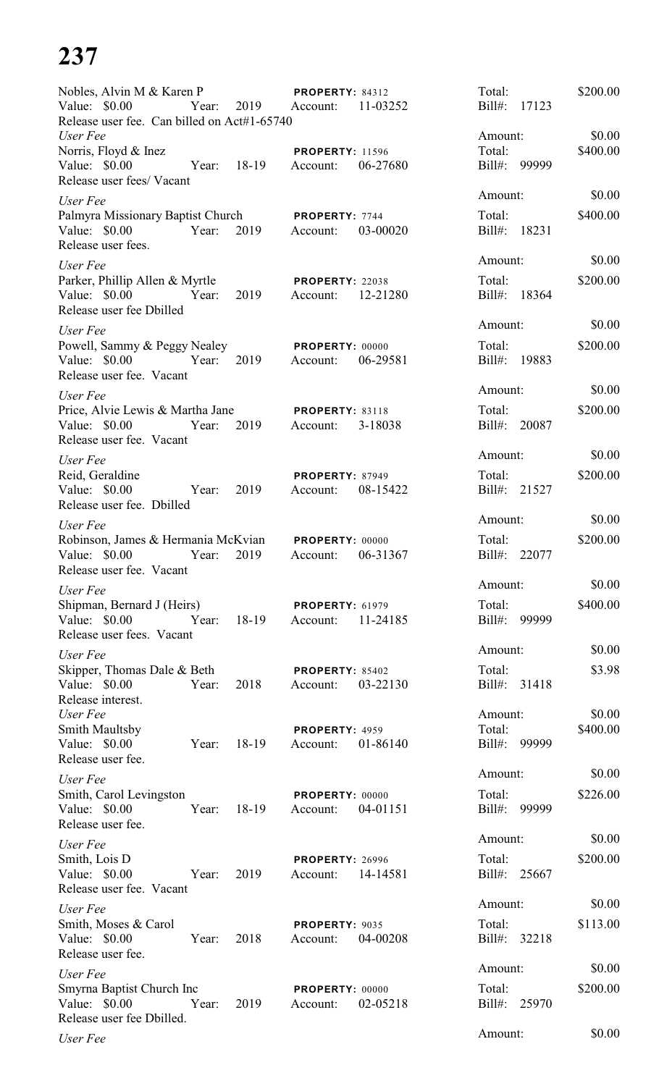| Nobles, Alvin M & Karen P                                    |       |       | <b>PROPERTY: 84312</b>      |          | Total:              |       | \$200.00 |
|--------------------------------------------------------------|-------|-------|-----------------------------|----------|---------------------|-------|----------|
| Value: \$0.00<br>Release user fee. Can billed on Act#1-65740 | Year: | 2019  | Account:                    | 11-03252 | $Bill#$ :           | 17123 |          |
| User Fee                                                     |       |       |                             |          | Amount:             |       | \$0.00   |
| Norris, Floyd & Inez<br>Value: $$0.00$                       | Year: | 18-19 | <b>PROPERTY: 11596</b>      | 06-27680 | Total:<br>Bill#:    | 99999 | \$400.00 |
| Release user fees/ Vacant                                    |       |       | Account:                    |          |                     |       |          |
| User Fee                                                     |       |       |                             |          | Amount:             |       | \$0.00   |
| Palmyra Missionary Baptist Church                            |       |       | PROPERTY: 7744              |          | Total:              |       | \$400.00 |
| Value: \$0.00<br>Release user fees.                          | Year: | 2019  | Account:                    | 03-00020 | $Bill#$ :           | 18231 |          |
| User Fee                                                     |       |       |                             |          | Amount:             |       | \$0.00   |
| Parker, Phillip Allen & Myrtle                               |       |       | <b>PROPERTY: 22038</b>      |          | Total:              |       | \$200.00 |
| Value: \$0.00<br>Release user fee Dbilled                    | Year: | 2019  | Account:                    | 12-21280 | $Bill#$ :           | 18364 |          |
| User Fee                                                     |       |       |                             |          | Amount:             |       | \$0.00   |
| Powell, Sammy & Peggy Nealey                                 |       |       | <b>PROPERTY: 00000</b>      |          | Total:              |       | \$200.00 |
| Value: \$0.00<br>Release user fee. Vacant                    | Year: | 2019  | Account:                    | 06-29581 | $Bill#$ :           | 19883 |          |
| User Fee                                                     |       |       |                             |          | Amount:             |       | \$0.00   |
| Price, Alvie Lewis & Martha Jane                             |       |       | <b>PROPERTY: 83118</b>      |          | Total:              |       | \$200.00 |
| Value: \$0.00                                                | Year: | 2019  | Account:                    | 3-18038  | $Bill#$ :           | 20087 |          |
| Release user fee. Vacant                                     |       |       |                             |          | Amount:             |       | \$0.00   |
| User Fee<br>Reid, Geraldine                                  |       |       | <b>PROPERTY: 87949</b>      |          | Total:              |       | \$200.00 |
| Value: \$0.00                                                | Year: | 2019  | Account:                    | 08-15422 | $Bill#$ :           | 21527 |          |
| Release user fee. Dbilled                                    |       |       |                             |          |                     |       |          |
| User Fee                                                     |       |       |                             |          | Amount:             |       | \$0.00   |
| Robinson, James & Hermania McKvian<br>Value: \$0.00          | Year: | 2019  | PROPERTY: 00000<br>Account: | 06-31367 | Total:<br>$Bill#$ : | 22077 | \$200.00 |
| Release user fee. Vacant                                     |       |       |                             |          |                     |       |          |
| User Fee                                                     |       |       |                             |          | Amount:             |       | \$0.00   |
| Shipman, Bernard J (Heirs)                                   |       |       | <b>PROPERTY: 61979</b>      |          | Total:              |       | \$400.00 |
| Value: \$0.00<br>Release user fees. Vacant                   | Year: | 18-19 | Account:                    | 11-24185 | $Bill#$ :           | 99999 |          |
| User Fee                                                     |       |       |                             |          | Amount:             |       | \$0.00   |
| Skipper, Thomas Dale & Beth                                  |       |       | PROPERTY: 85402             |          | Total:              |       | \$3.98   |
| Value: \$0.00                                                | Year: | 2018  | Account:                    | 03-22130 | Bill#: 31418        |       |          |
| Release interest.<br>User Fee                                |       |       |                             |          | Amount:             |       | \$0.00   |
| <b>Smith Maultsby</b>                                        |       |       | PROPERTY: 4959              |          | Total:              |       | \$400.00 |
| Value: \$0.00                                                | Year: | 18-19 | Account:                    | 01-86140 | Bill#: 99999        |       |          |
| Release user fee.<br>User Fee                                |       |       |                             |          | Amount:             |       | \$0.00   |
| Smith, Carol Levingston                                      |       |       | <b>PROPERTY: 00000</b>      |          | Total:              |       | \$226.00 |
| Value: \$0.00                                                | Year: | 18-19 | Account:                    | 04-01151 | $Bill#$ :           | 99999 |          |
| Release user fee.                                            |       |       |                             |          | Amount:             |       | \$0.00   |
| User Fee<br>Smith, Lois D                                    |       |       | <b>PROPERTY: 26996</b>      |          | Total:              |       | \$200.00 |
| Value: \$0.00<br>Release user fee. Vacant                    | Year: | 2019  | Account:                    | 14-14581 | Bill#: 25667        |       |          |
| User Fee                                                     |       |       |                             |          | Amount:             |       | \$0.00   |
| Smith, Moses & Carol                                         |       |       | PROPERTY: 9035              |          | Total:              |       | \$113.00 |
| Value: \$0.00                                                | Year: | 2018  | Account:                    | 04-00208 | Bill#:              | 32218 |          |
| Release user fee.                                            |       |       |                             |          | Amount:             |       | \$0.00   |
| User Fee<br>Smyrna Baptist Church Inc                        |       |       | PROPERTY: 00000             |          | Total:              |       | \$200.00 |
| Value: \$0.00                                                | Year: | 2019  | Account:                    | 02-05218 | $Bill#$ :           | 25970 |          |
| Release user fee Dbilled.                                    |       |       |                             |          |                     |       |          |
| User Fee                                                     |       |       |                             |          | Amount:             |       | \$0.00   |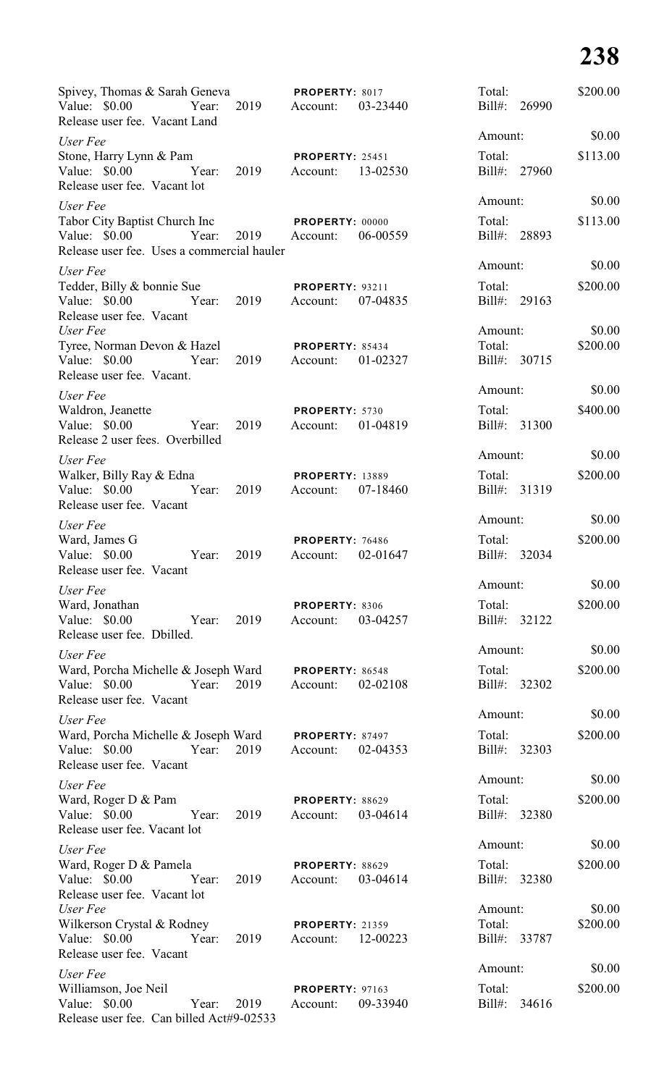| Spivey, Thomas & Sarah Geneva<br>Value: \$0.00<br>Release user fee. Vacant Land                | Year: 2019 | <b>PROPERTY: 8017</b><br>Account:           | 03-23440 | Total:<br>Bill#: 26990            |       | \$200.00           |
|------------------------------------------------------------------------------------------------|------------|---------------------------------------------|----------|-----------------------------------|-------|--------------------|
| User Fee                                                                                       |            |                                             |          | Amount:                           |       | \$0.00             |
| Stone, Harry Lynn & Pam<br>Value: \$0.00 Year:                                                 | 2019       | <b>PROPERTY: 25451</b><br>Account: 13-02530 |          | Total:<br>Bill#: 27960            |       | \$113.00           |
| Release user fee. Vacant lot                                                                   |            |                                             |          | Amount:                           |       | \$0.00             |
| User Fee<br>Tabor City Baptist Church Inc<br>Value: $$0.00$<br>Year:                           |            | <b>PROPERTY: 00000</b><br>2019 Account:     | 06-00559 | Total:<br>Bill#: 28893            |       | \$113.00           |
| Release user fee. Uses a commercial hauler                                                     |            |                                             |          | Amount:                           |       | \$0.00             |
| User Fee<br>Tedder, Billy & bonnie Sue<br>Year:<br>Value: \$0.00<br>Release user fee. Vacant   | 2019       | <b>PROPERTY: 93211</b><br>Account:          | 07-04835 | Total:<br>Bill#: 29163            |       | \$200.00           |
| User Fee<br>Tyree, Norman Devon & Hazel<br>Value: \$0.00<br>Year:<br>Release user fee. Vacant. | 2019       | <b>PROPERTY: 85434</b><br>Account:          | 01-02327 | Amount:<br>Total:<br>Bill#: 30715 |       | \$0.00<br>\$200.00 |
| User Fee                                                                                       |            |                                             |          | Amount:                           |       | \$0.00             |
| Waldron, Jeanette<br>Value: \$0.00<br>Year:<br>Release 2 user fees. Overbilled                 | 2019       | PROPERTY: 5730<br>Account:                  | 01-04819 | Total:<br>Bill#: 31300            |       | \$400.00           |
| User Fee                                                                                       |            |                                             |          | Amount:                           |       | \$0.00             |
| Walker, Billy Ray & Edna<br>Value: \$0.00<br>Year:<br>Release user fee. Vacant                 | 2019       | <b>PROPERTY: 13889</b><br>Account:          | 07-18460 | Total:<br>Bill#: 31319            |       | \$200.00           |
| User Fee                                                                                       |            |                                             |          | Amount:                           |       | \$0.00             |
| Ward, James G<br>Value: \$0.00<br>Year:<br>Release user fee. Vacant                            | 2019       | <b>PROPERTY: 76486</b><br>Account:          | 02-01647 | Total:<br>Bill#: 32034            |       | \$200.00           |
| User Fee                                                                                       |            |                                             |          | Amount:                           |       | \$0.00             |
| Ward, Jonathan<br>Value: \$0.00<br>Year:<br>Release user fee. Dbilled.                         | 2019       | PROPERTY: 8306<br>Account:                  | 03-04257 | Total:<br>Bill#: 32122            |       | \$200.00           |
| User Fee                                                                                       |            |                                             |          | Amount:                           |       | \$0.00             |
| Ward, Porcha Michelle & Joseph Ward<br>Value: \$0.00<br>Year:<br>Release user fee. Vacant      | 2019       | <b>PROPERTY: 86548</b><br>Account:          | 02-02108 | Total:<br>Bill#: 32302            |       | \$200.00           |
| User Fee                                                                                       |            |                                             |          | Amount:                           |       | \$0.00             |
| Ward, Porcha Michelle & Joseph Ward<br>Value: \$0.00<br>Year:<br>Release user fee. Vacant      | 2019       | PROPERTY: 87497<br>Account:                 | 02-04353 | Total:<br>Bill#: 32303            |       | \$200.00           |
| User Fee                                                                                       |            |                                             |          | Amount:                           |       | \$0.00             |
| Ward, Roger D & Pam<br>Value: \$0.00<br>Year:<br>Release user fee. Vacant lot                  | 2019       | PROPERTY: 88629<br>Account:                 | 03-04614 | Total:<br>Bill#: 32380            |       | \$200.00           |
| User Fee                                                                                       |            |                                             |          | Amount:                           |       | \$0.00             |
| Ward, Roger D & Pamela                                                                         |            | PROPERTY: 88629                             |          | Total:                            |       | \$200.00           |
| Value: $$0.00$<br>Year:<br>Release user fee. Vacant lot<br>User Fee                            | 2019       | Account:                                    | 03-04614 | Bill#: 32380                      |       | \$0.00             |
| Wilkerson Crystal & Rodney                                                                     |            | <b>PROPERTY: 21359</b>                      |          | Amount:<br>Total:                 |       | \$200.00           |
| Value: \$0.00<br>Year:<br>Release user fee. Vacant                                             | 2019       | Account: 12-00223                           |          | Bill#: 33787                      |       |                    |
| User Fee                                                                                       |            |                                             |          | Amount:                           |       | \$0.00             |
| Williamson, Joe Neil<br>Value: \$0.00<br>Year:<br>Release user fee. Can billed Act#9-02533     | 2019       | <b>PROPERTY: 97163</b><br>Account:          | 09-33940 | Total:<br>Bill#:                  | 34616 | \$200.00           |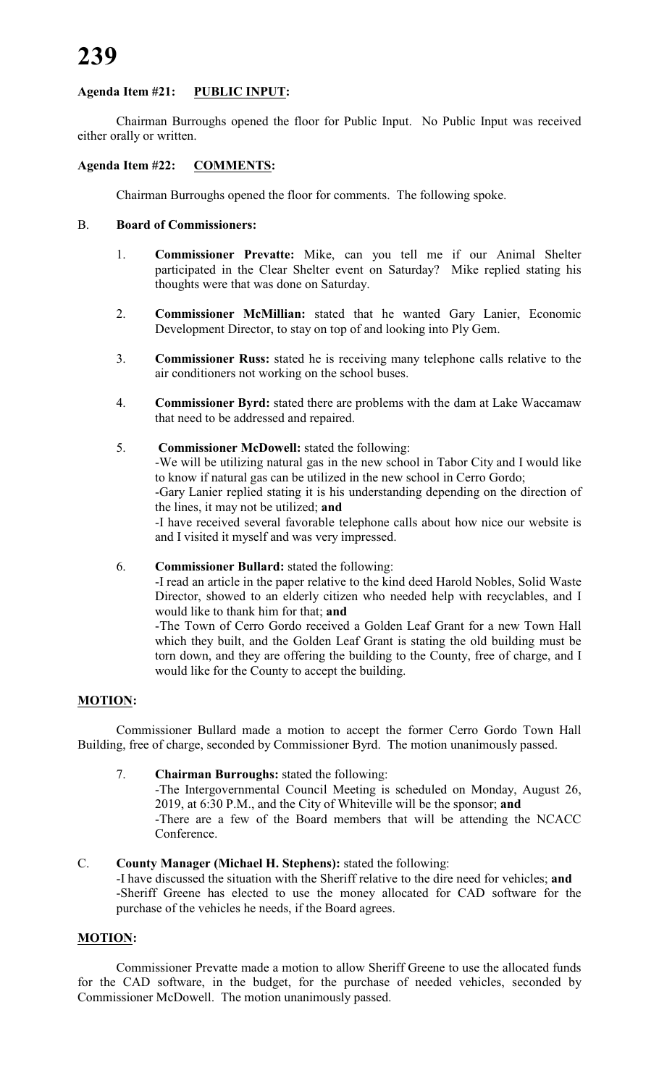# **Agenda Item #21: PUBLIC INPUT:**

Chairman Burroughs opened the floor for Public Input. No Public Input was received either orally or written.

# **Agenda Item #22: COMMENTS:**

Chairman Burroughs opened the floor for comments. The following spoke.

#### B. **Board of Commissioners:**

- 1. **Commissioner Prevatte:** Mike, can you tell me if our Animal Shelter participated in the Clear Shelter event on Saturday? Mike replied stating his thoughts were that was done on Saturday.
- 2. **Commissioner McMillian:** stated that he wanted Gary Lanier, Economic Development Director, to stay on top of and looking into Ply Gem.
- 3. **Commissioner Russ:** stated he is receiving many telephone calls relative to the air conditioners not working on the school buses.
- 4. **Commissioner Byrd:** stated there are problems with the dam at Lake Waccamaw that need to be addressed and repaired.
- 5. **Commissioner McDowell:** stated the following: -We will be utilizing natural gas in the new school in Tabor City and I would like to know if natural gas can be utilized in the new school in Cerro Gordo; -Gary Lanier replied stating it is his understanding depending on the direction of the lines, it may not be utilized; **and** -I have received several favorable telephone calls about how nice our website is and I visited it myself and was very impressed.

#### 6. **Commissioner Bullard:** stated the following:

-I read an article in the paper relative to the kind deed Harold Nobles, Solid Waste Director, showed to an elderly citizen who needed help with recyclables, and I would like to thank him for that; **and**

-The Town of Cerro Gordo received a Golden Leaf Grant for a new Town Hall which they built, and the Golden Leaf Grant is stating the old building must be torn down, and they are offering the building to the County, free of charge, and I would like for the County to accept the building.

#### **MOTION:**

Commissioner Bullard made a motion to accept the former Cerro Gordo Town Hall Building, free of charge, seconded by Commissioner Byrd. The motion unanimously passed.

#### 7. **Chairman Burroughs:** stated the following:

-The Intergovernmental Council Meeting is scheduled on Monday, August 26, 2019, at 6:30 P.M., and the City of Whiteville will be the sponsor; **and** -There are a few of the Board members that will be attending the NCACC Conference.

#### C. **County Manager (Michael H. Stephens):** stated the following:

-I have discussed the situation with the Sheriff relative to the dire need for vehicles; **and** -Sheriff Greene has elected to use the money allocated for CAD software for the purchase of the vehicles he needs, if the Board agrees.

#### **MOTION:**

Commissioner Prevatte made a motion to allow Sheriff Greene to use the allocated funds for the CAD software, in the budget, for the purchase of needed vehicles, seconded by Commissioner McDowell. The motion unanimously passed.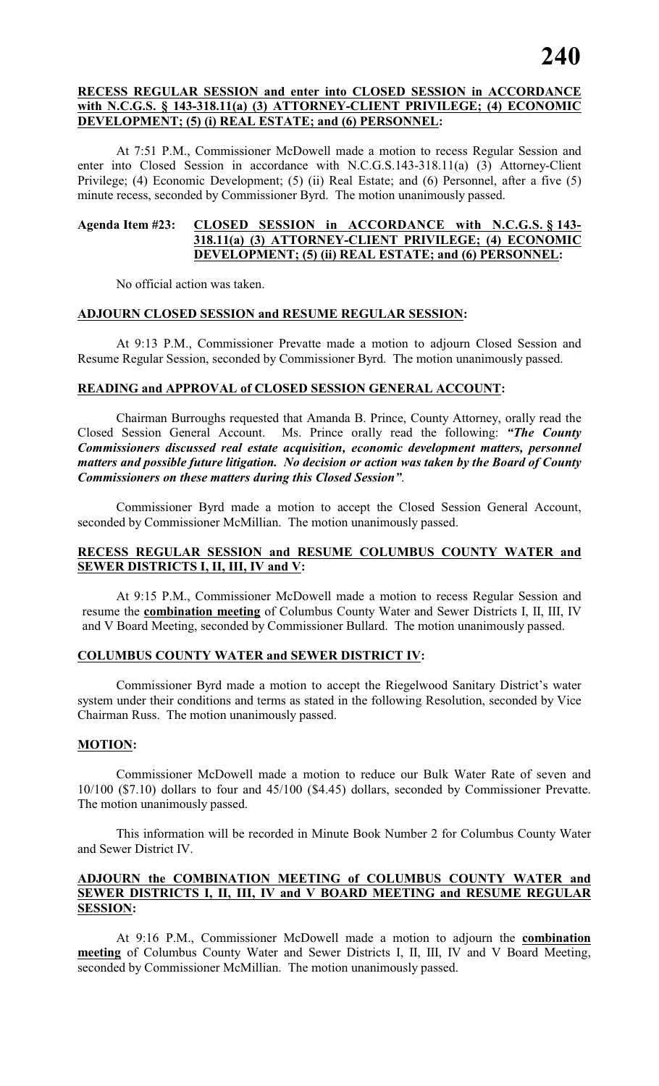#### **RECESS REGULAR SESSION and enter into CLOSED SESSION in ACCORDANCE with N.C.G.S. § 143-318.11(a) (3) ATTORNEY-CLIENT PRIVILEGE; (4) ECONOMIC DEVELOPMENT; (5) (i) REAL ESTATE; and (6) PERSONNEL:**

At 7:51 P.M., Commissioner McDowell made a motion to recess Regular Session and enter into Closed Session in accordance with N.C.G.S.143-318.11(a) (3) Attorney-Client Privilege; (4) Economic Development; (5) (ii) Real Estate; and (6) Personnel, after a five (5) minute recess, seconded by Commissioner Byrd. The motion unanimously passed.

### **Agenda Item #23: CLOSED SESSION in ACCORDANCE with N.C.G.S. § 143- 318.11(a) (3) ATTORNEY-CLIENT PRIVILEGE; (4) ECONOMIC DEVELOPMENT; (5) (ii) REAL ESTATE; and (6) PERSONNEL:**

No official action was taken.

#### **ADJOURN CLOSED SESSION and RESUME REGULAR SESSION:**

At 9:13 P.M., Commissioner Prevatte made a motion to adjourn Closed Session and Resume Regular Session, seconded by Commissioner Byrd. The motion unanimously passed.

# **READING and APPROVAL of CLOSED SESSION GENERAL ACCOUNT:**

Chairman Burroughs requested that Amanda B. Prince, County Attorney, orally read the Closed Session General Account. Ms. Prince orally read the following: *"The County Commissioners discussed real estate acquisition, economic development matters, personnel matters and possible future litigation. No decision or action was taken by the Board of County Commissioners on these matters during this Closed Session"*.

Commissioner Byrd made a motion to accept the Closed Session General Account, seconded by Commissioner McMillian. The motion unanimously passed.

### **RECESS REGULAR SESSION and RESUME COLUMBUS COUNTY WATER and SEWER DISTRICTS I, II, III, IV and V:**

At 9:15 P.M., Commissioner McDowell made a motion to recess Regular Session and resume the **combination meeting** of Columbus County Water and Sewer Districts I, II, III, IV and V Board Meeting, seconded by Commissioner Bullard. The motion unanimously passed.

# **COLUMBUS COUNTY WATER and SEWER DISTRICT IV:**

Commissioner Byrd made a motion to accept the Riegelwood Sanitary District's water system under their conditions and terms as stated in the following Resolution, seconded by Vice Chairman Russ. The motion unanimously passed.

#### **MOTION:**

Commissioner McDowell made a motion to reduce our Bulk Water Rate of seven and 10/100 (\$7.10) dollars to four and 45/100 (\$4.45) dollars, seconded by Commissioner Prevatte. The motion unanimously passed.

This information will be recorded in Minute Book Number 2 for Columbus County Water and Sewer District IV.

## **ADJOURN the COMBINATION MEETING of COLUMBUS COUNTY WATER and SEWER DISTRICTS I, II, III, IV and V BOARD MEETING and RESUME REGULAR SESSION:**

At 9:16 P.M., Commissioner McDowell made a motion to adjourn the **combination meeting** of Columbus County Water and Sewer Districts I, II, III, IV and V Board Meeting, seconded by Commissioner McMillian. The motion unanimously passed.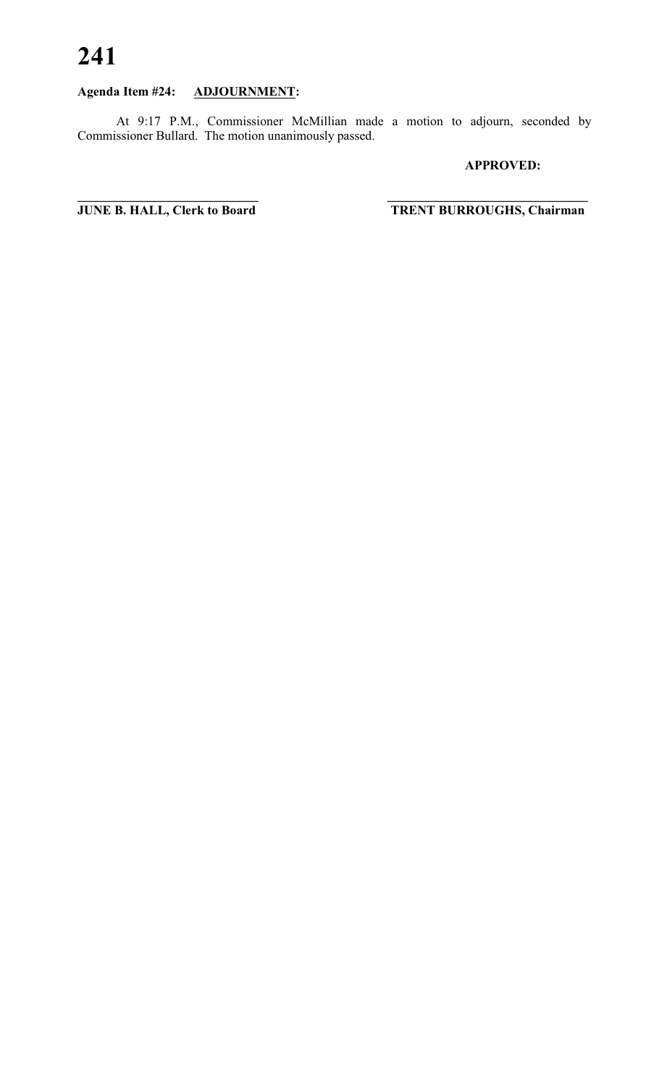# **Agenda Item #24: ADJOURNMENT:**

At 9:17 P.M., Commissioner McMillian made a motion to adjourn, seconded by Commissioner Bullard. The motion unanimously passed.

### **APPROVED:**

**JUNE B. HALL, Clerk to Board** 

 $TRENT BURROUGHS, Chairman$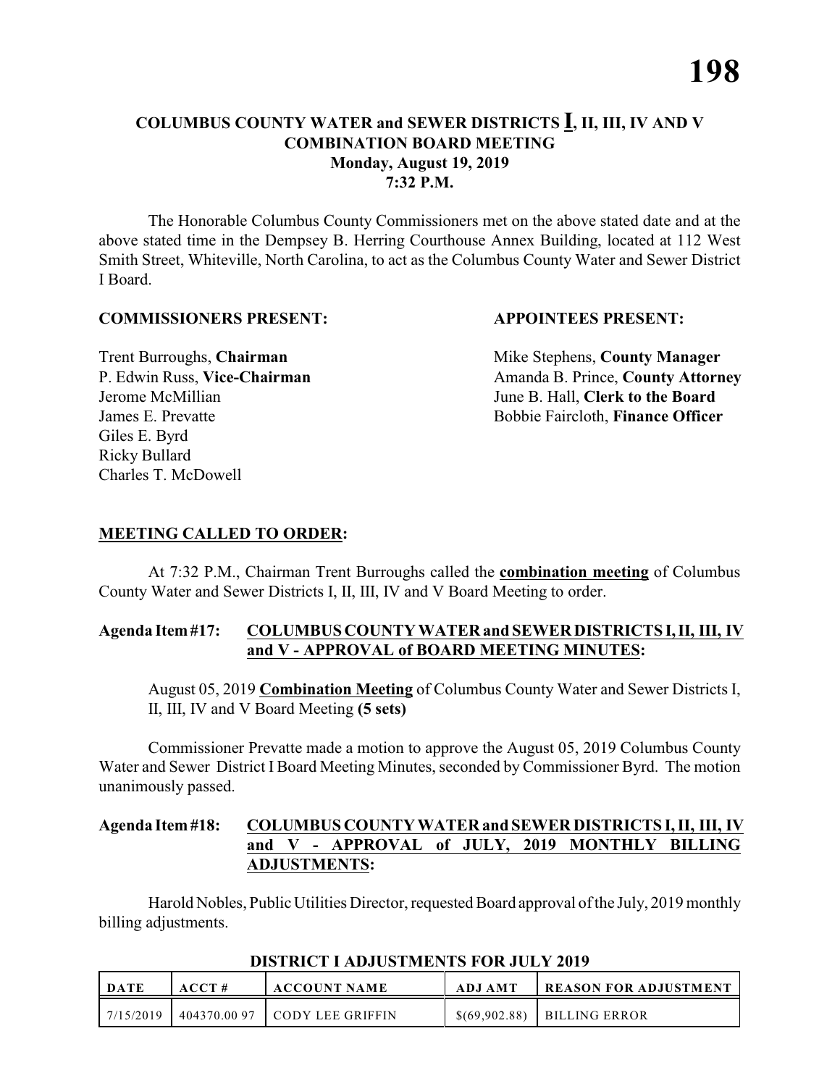# **COLUMBUS COUNTY WATER and SEWER DISTRICTS I, II, III, IV AND V COMBINATION BOARD MEETING Monday, August 19, 2019 7:32 P.M.**

The Honorable Columbus County Commissioners met on the above stated date and at the above stated time in the Dempsey B. Herring Courthouse Annex Building, located at 112 West Smith Street, Whiteville, North Carolina, to act as the Columbus County Water and Sewer District I Board.

#### **COMMISSIONERS PRESENT: APPOINTEES PRESENT:**

Giles E. Byrd Ricky Bullard Charles T. McDowell

**Trent Burroughs, Chairman** Mike Stephens, **County Manager** P. Edwin Russ, Vice-Chairman Amanda B. Prince, County Attorney Jerome McMillian June B. Hall, **Clerk to the Board** James E. Prevatte Bobbie Faircloth, **Finance Officer**

#### **MEETING CALLED TO ORDER:**

At 7:32 P.M., Chairman Trent Burroughs called the **combination meeting** of Columbus County Water and Sewer Districts I, II, III, IV and V Board Meeting to order.

#### **Agenda Item #17: COLUMBUS COUNTY WATER and SEWER DISTRICTS I, II, III, IV and V - APPROVAL of BOARD MEETING MINUTES:**

August 05, 2019 **Combination Meeting** of Columbus County Water and Sewer Districts I, II, III, IV and V Board Meeting **(5 sets)**

Commissioner Prevatte made a motion to approve the August 05, 2019 Columbus County Water and Sewer District I Board Meeting Minutes, seconded by Commissioner Byrd. The motion unanimously passed.

#### **Agenda Item #18: COLUMBUS COUNTY WATER and SEWER DISTRICTS I, II, III, IV and V - APPROVAL of JULY, 2019 MONTHLY BILLING ADJUSTMENTS:**

Harold Nobles, Public Utilities Director, requested Board approval of the July, 2019 monthly billing adjustments.

| DATE      | ACCT#       | <b>ACCOUNT NAME</b> | ADJ AMT       | <b>  REASON FOR ADJUSTMENT</b> |
|-----------|-------------|---------------------|---------------|--------------------------------|
| 7/15/2019 | 404370.0097 | l cody lee griffin  | \$(69,902,88) | BILLING ERROR                  |

#### **DISTRICT I ADJUSTMENTS FOR JULY 2019**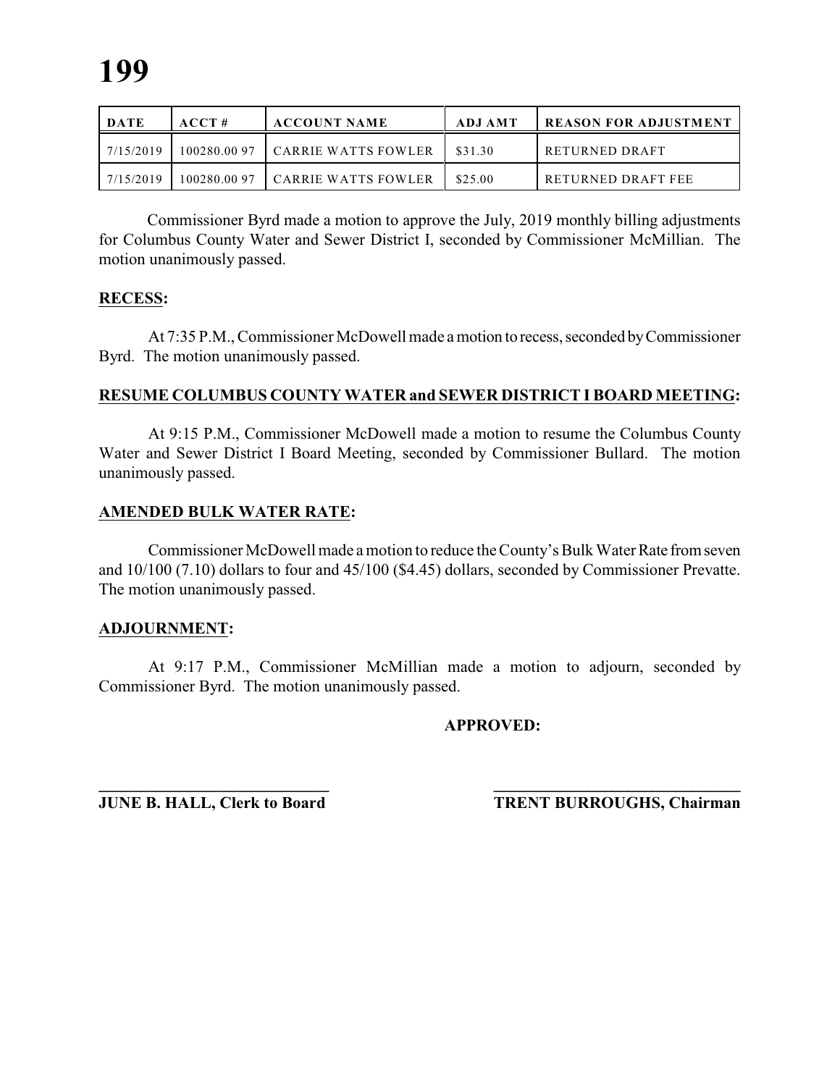| DATE      | ACCT#        | <b>ACCOUNT NAME</b>        | ADJ AMT | <b>REASON FOR ADJUSTMENT</b> |
|-----------|--------------|----------------------------|---------|------------------------------|
| 7/15/2019 | 100280.0097  | <b>CARRIE WATTS FOWLER</b> | \$31.30 | RETURNED DRAFT               |
| 7/15/2019 | 100280.00.97 | CARRIE WATTS FOWLER        | \$25.00 | RETURNED DRAFT FEE           |

 Commissioner Byrd made a motion to approve the July, 2019 monthly billing adjustments for Columbus County Water and Sewer District I, seconded by Commissioner McMillian. The motion unanimously passed.

#### **RECESS:**

At 7:35 P.M., Commissioner McDowell made a motion to recess, seconded by Commissioner Byrd. The motion unanimously passed.

#### **RESUME COLUMBUS COUNTY WATER and SEWER DISTRICT I BOARD MEETING:**

At 9:15 P.M., Commissioner McDowell made a motion to resume the Columbus County Water and Sewer District I Board Meeting, seconded by Commissioner Bullard. The motion unanimously passed.

#### **AMENDED BULK WATER RATE:**

Commissioner McDowell made a motion to reduce the County's Bulk Water Rate from seven and 10/100 (7.10) dollars to four and 45/100 (\$4.45) dollars, seconded by Commissioner Prevatte. The motion unanimously passed.

#### **ADJOURNMENT:**

At 9:17 P.M., Commissioner McMillian made a motion to adjourn, seconded by Commissioner Byrd. The motion unanimously passed.

#### **APPROVED:**

**\_\_\_\_\_\_\_\_\_\_\_\_\_\_\_\_\_\_\_\_\_\_\_\_\_\_\_\_ \_\_\_\_\_\_\_\_\_\_\_\_\_\_\_\_\_\_\_\_\_\_\_\_\_\_\_\_\_\_\_**

**JUNE B. HALL, Clerk to Board TRENT BURROUGHS, Chairman**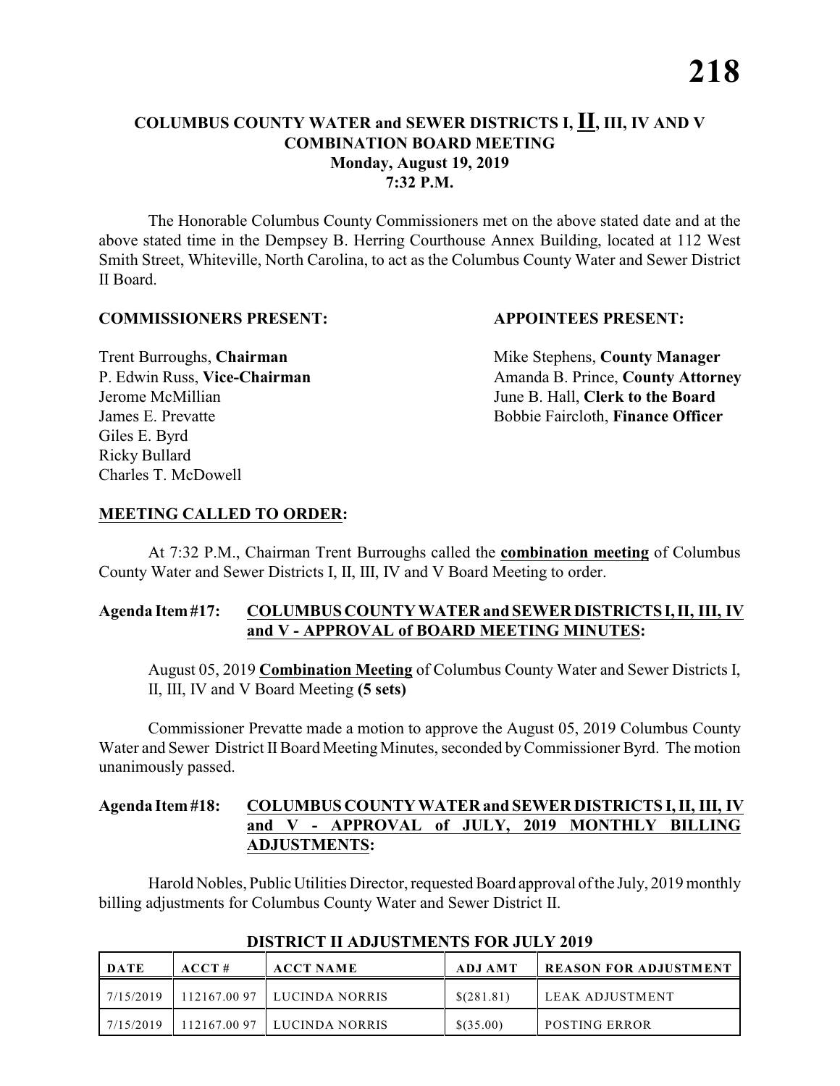# **COLUMBUS COUNTY WATER and SEWER DISTRICTS I, II, III, IV AND V COMBINATION BOARD MEETING Monday, August 19, 2019 7:32 P.M.**

The Honorable Columbus County Commissioners met on the above stated date and at the above stated time in the Dempsey B. Herring Courthouse Annex Building, located at 112 West Smith Street, Whiteville, North Carolina, to act as the Columbus County Water and Sewer District II Board.

#### **COMMISSIONERS PRESENT: APPOINTEES PRESENT:**

Giles E. Byrd Ricky Bullard Charles T. McDowell

**Trent Burroughs, Chairman** Mike Stephens, **County Manager** P. Edwin Russ, Vice-Chairman Amanda B. Prince, County Attorney Jerome McMillian June B. Hall, **Clerk to the Board** James E. Prevatte Bobbie Faircloth, **Finance Officer**

#### **MEETING CALLED TO ORDER:**

At 7:32 P.M., Chairman Trent Burroughs called the **combination meeting** of Columbus County Water and Sewer Districts I, II, III, IV and V Board Meeting to order.

### **Agenda Item #17: COLUMBUS COUNTY WATER and SEWER DISTRICTS I, II, III, IV and V - APPROVAL of BOARD MEETING MINUTES:**

August 05, 2019 **Combination Meeting** of Columbus County Water and Sewer Districts I, II, III, IV and V Board Meeting **(5 sets)**

Commissioner Prevatte made a motion to approve the August 05, 2019 Columbus County Water and Sewer District II Board Meeting Minutes, seconded by Commissioner Byrd. The motion unanimously passed.

# **Agenda Item #18: COLUMBUS COUNTY WATER and SEWER DISTRICTS I, II, III, IV and V - APPROVAL of JULY, 2019 MONTHLY BILLING ADJUSTMENTS:**

Harold Nobles, Public Utilities Director, requested Board approval of the July, 2019 monthly billing adjustments for Columbus County Water and Sewer District II.

| DATE      | ACCT# | <b>ACCT NAME</b>              | ADJ AMT     | <b>REASON FOR ADJUSTMENT</b> |
|-----------|-------|-------------------------------|-------------|------------------------------|
| 7/15/2019 |       | 112167.00 97   LUCINDA NORRIS | \$(281.81)  | l leak adjustment            |
| 7/15/2019 |       | $112167.0097$ LUCINDA NORRIS  | $$$ (35.00) | <b>POSTING ERROR</b>         |

#### **DISTRICT II ADJUSTMENTS FOR JULY 2019**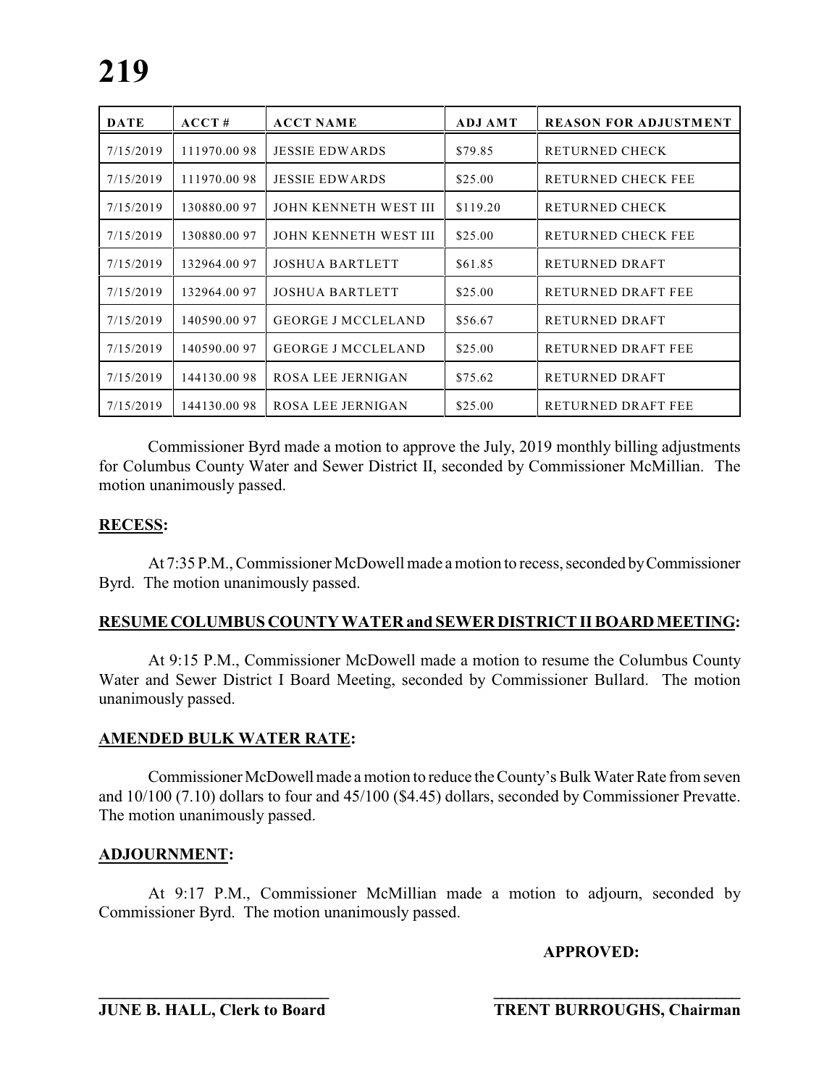| <b>DATE</b> | ACCT#        | <b>ACCT NAME</b>          | <b>ADJ AMT</b> | <b>REASON FOR ADJUSTMENT</b> |
|-------------|--------------|---------------------------|----------------|------------------------------|
| 7/15/2019   | 111970.0098  | <b>JESSIE EDWARDS</b>     | \$79.85        | <b>RETURNED CHECK</b>        |
| 7/15/2019   | 111970.0098  | <b>JESSIE EDWARDS</b>     | \$25.00        | RETURNED CHECK FEE           |
| 7/15/2019   | 130880.0097  | JOHN KENNETH WEST III     | \$119.20       | <b>RETURNED CHECK</b>        |
| 7/15/2019   | 130880.0097  | JOHN KENNETH WEST III     | \$25.00        | RETURNED CHECK FEE           |
| 7/15/2019   | 132964.00 97 | <b>JOSHUA BARTLETT</b>    | \$61.85        | RETURNED DRAFT               |
| 7/15/2019   | 132964.00 97 | <b>JOSHUA BARTLETT</b>    | \$25.00        | RETURNED DRAFT FEE           |
| 7/15/2019   | 140590.00 97 | <b>GEORGE J MCCLELAND</b> | \$56.67        | RETURNED DRAFT               |
| 7/15/2019   | 140590.0097  | <b>GEORGE J MCCLELAND</b> | \$25.00        | <b>RETURNED DRAFT FEE</b>    |
| 7/15/2019   | 144130.0098  | ROSA LEE JERNIGAN         | \$75.62        | RETURNED DRAFT               |
| 7/15/2019   | 144130.0098  | ROSA LEE JERNIGAN         | \$25.00        | RETURNED DRAFT FEE           |

 Commissioner Byrd made a motion to approve the July, 2019 monthly billing adjustments for Columbus County Water and Sewer District II, seconded by Commissioner McMillian. The motion unanimously passed.

#### **RECESS:**

At 7:35 P.M., Commissioner McDowell made a motion to recess, seconded by Commissioner Byrd. The motion unanimously passed.

#### **RESUME COLUMBUS COUNTY WATER and SEWER DISTRICT II BOARD MEETING:**

At 9:15 P.M., Commissioner McDowell made a motion to resume the Columbus County Water and Sewer District I Board Meeting, seconded by Commissioner Bullard. The motion unanimously passed.

#### **AMENDED BULK WATER RATE:**

Commissioner McDowell made a motion to reduce the County's Bulk Water Rate from seven and 10/100 (7.10) dollars to four and 45/100 (\$4.45) dollars, seconded by Commissioner Prevatte. The motion unanimously passed.

#### **ADJOURNMENT:**

At 9:17 P.M., Commissioner McMillian made a motion to adjourn, seconded by Commissioner Byrd. The motion unanimously passed.

**\_\_\_\_\_\_\_\_\_\_\_\_\_\_\_\_\_\_\_\_\_\_\_\_\_\_\_\_ \_\_\_\_\_\_\_\_\_\_\_\_\_\_\_\_\_\_\_\_\_\_\_\_\_\_\_\_\_\_\_**

#### **APPROVED:**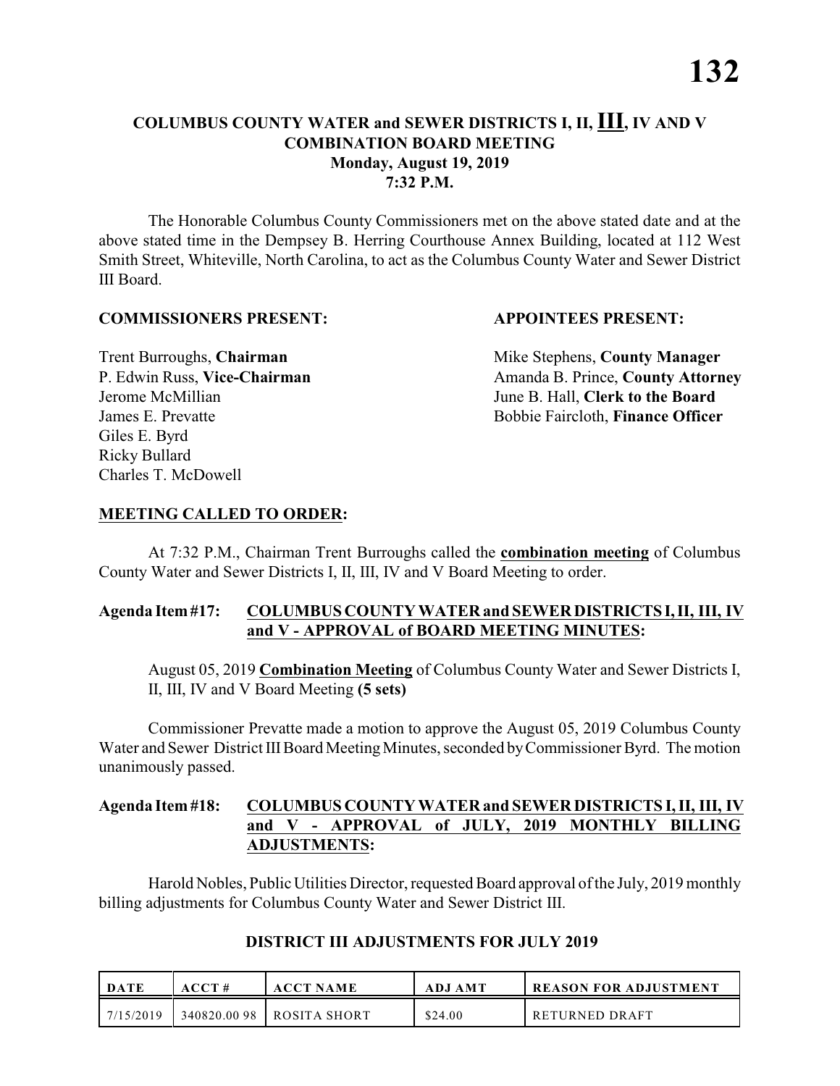# **COLUMBUS COUNTY WATER and SEWER DISTRICTS I, II, III, IV AND V COMBINATION BOARD MEETING Monday, August 19, 2019 7:32 P.M.**

The Honorable Columbus County Commissioners met on the above stated date and at the above stated time in the Dempsey B. Herring Courthouse Annex Building, located at 112 West Smith Street, Whiteville, North Carolina, to act as the Columbus County Water and Sewer District III Board.

#### **COMMISSIONERS PRESENT: APPOINTEES PRESENT:**

Giles E. Byrd Ricky Bullard Charles T. McDowell

**Trent Burroughs, Chairman** Mike Stephens, **County Manager** P. Edwin Russ, Vice-Chairman Amanda B. Prince, County Attorney Jerome McMillian June B. Hall, **Clerk to the Board** James E. Prevatte Bobbie Faircloth, **Finance Officer**

#### **MEETING CALLED TO ORDER:**

At 7:32 P.M., Chairman Trent Burroughs called the **combination meeting** of Columbus County Water and Sewer Districts I, II, III, IV and V Board Meeting to order.

#### **Agenda Item #17: COLUMBUS COUNTY WATER and SEWER DISTRICTS I, II, III, IV and V - APPROVAL of BOARD MEETING MINUTES:**

August 05, 2019 **Combination Meeting** of Columbus County Water and Sewer Districts I, II, III, IV and V Board Meeting **(5 sets)**

Commissioner Prevatte made a motion to approve the August 05, 2019 Columbus County Water and Sewer District III Board Meeting Minutes, seconded by Commissioner Byrd. The motion unanimously passed.

#### **Agenda Item #18: COLUMBUS COUNTY WATER and SEWER DISTRICTS I, II, III, IV and V - APPROVAL of JULY, 2019 MONTHLY BILLING ADJUSTMENTS:**

Harold Nobles, Public Utilities Director, requested Board approval of the July, 2019 monthly billing adjustments for Columbus County Water and Sewer District III.

| DATE      | ACCT#       | <b>ACCT NAME</b>    | <b>ADJ AMT</b> | <b>REASON FOR ADJUSTMENT</b> |
|-----------|-------------|---------------------|----------------|------------------------------|
| 7/15/2019 | 340820.0098 | <b>ROSITA SHORT</b> | \$24.00        | RETURNED DRAFT               |

# **DISTRICT III ADJUSTMENTS FOR JULY 2019**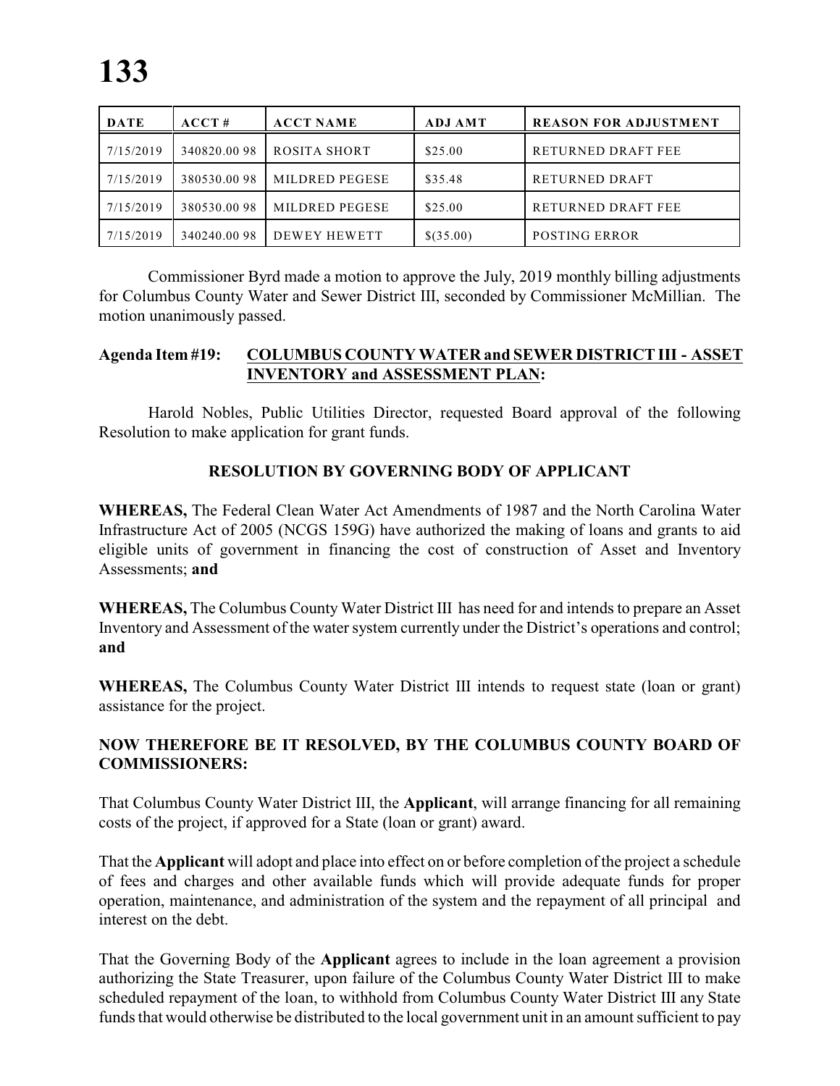| <b>DATE</b> | ACCT#       | <b>ACCT NAME</b> | <b>ADJ AMT</b> | <b>REASON FOR ADJUSTMENT</b> |
|-------------|-------------|------------------|----------------|------------------------------|
| 7/15/2019   | 340820.0098 | ROSITA SHORT     | \$25.00        | RETURNED DRAFT FEE           |
| 7/15/2019   | 380530.0098 | MILDRED PEGESE   | \$35.48        | RETURNED DRAFT               |
| 7/15/2019   | 380530.0098 | MILDRED PEGESE   | \$25.00        | RETURNED DRAFT FEE           |
| 7/15/2019   | 340240.0098 | DEWEY HEWETT     | \$(35.00)      | <b>POSTING ERROR</b>         |

 Commissioner Byrd made a motion to approve the July, 2019 monthly billing adjustments for Columbus County Water and Sewer District III, seconded by Commissioner McMillian. The motion unanimously passed.

#### **Agenda Item #19: COLUMBUS COUNTYWATER and SEWER DISTRICT III - ASSET INVENTORY and ASSESSMENT PLAN:**

Harold Nobles, Public Utilities Director, requested Board approval of the following Resolution to make application for grant funds.

# **RESOLUTION BY GOVERNING BODY OF APPLICANT**

**WHEREAS,** The Federal Clean Water Act Amendments of 1987 and the North Carolina Water Infrastructure Act of 2005 (NCGS 159G) have authorized the making of loans and grants to aid eligible units of government in financing the cost of construction of Asset and Inventory Assessments; **and**

**WHEREAS,** The Columbus County Water District III has need for and intends to prepare an Asset Inventory and Assessment of the water system currently under the District's operations and control; **and**

**WHEREAS,** The Columbus County Water District III intends to request state (loan or grant) assistance for the project.

# **NOW THEREFORE BE IT RESOLVED, BY THE COLUMBUS COUNTY BOARD OF COMMISSIONERS:**

That Columbus County Water District III, the **Applicant**, will arrange financing for all remaining costs of the project, if approved for a State (loan or grant) award.

That the **Applicant** will adopt and place into effect on or before completion ofthe project a schedule of fees and charges and other available funds which will provide adequate funds for proper operation, maintenance, and administration of the system and the repayment of all principal and interest on the debt.

That the Governing Body of the **Applicant** agrees to include in the loan agreement a provision authorizing the State Treasurer, upon failure of the Columbus County Water District III to make scheduled repayment of the loan, to withhold from Columbus County Water District III any State funds that would otherwise be distributed to the local government unit in an amount sufficient to pay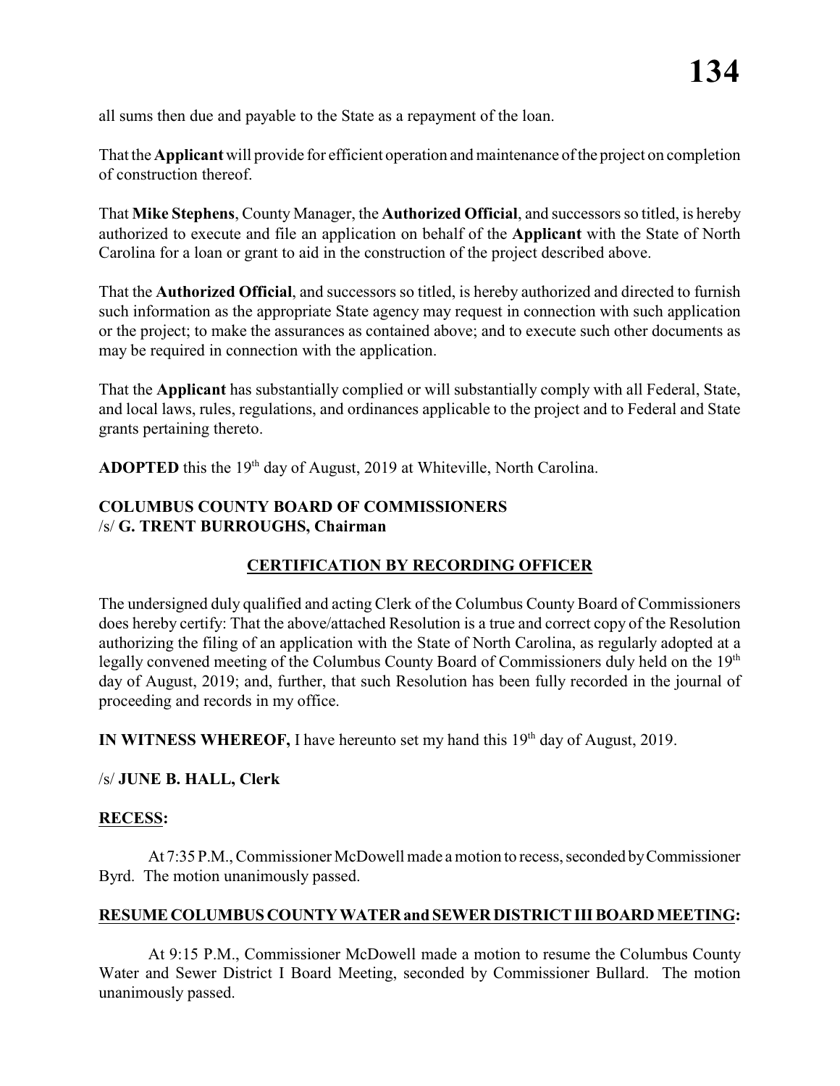all sums then due and payable to the State as a repayment of the loan.

That the **Applicant** will provide for efficient operation and maintenance of the project on completion of construction thereof.

That **Mike Stephens**, County Manager, the **Authorized Official**, and successors so titled, is hereby authorized to execute and file an application on behalf of the **Applicant** with the State of North Carolina for a loan or grant to aid in the construction of the project described above.

That the **Authorized Official**, and successors so titled, is hereby authorized and directed to furnish such information as the appropriate State agency may request in connection with such application or the project; to make the assurances as contained above; and to execute such other documents as may be required in connection with the application.

That the **Applicant** has substantially complied or will substantially comply with all Federal, State, and local laws, rules, regulations, and ordinances applicable to the project and to Federal and State grants pertaining thereto.

**ADOPTED** this the  $19<sup>th</sup>$  day of August, 2019 at Whiteville, North Carolina.

# **COLUMBUS COUNTY BOARD OF COMMISSIONERS** /s/ **G. TRENT BURROUGHS, Chairman**

# **CERTIFICATION BY RECORDING OFFICER**

The undersigned duly qualified and acting Clerk of the Columbus County Board of Commissioners does hereby certify: That the above/attached Resolution is a true and correct copy of the Resolution authorizing the filing of an application with the State of North Carolina, as regularly adopted at a legally convened meeting of the Columbus County Board of Commissioners duly held on the 19<sup>th</sup> day of August, 2019; and, further, that such Resolution has been fully recorded in the journal of proceeding and records in my office.

**IN WITNESS WHEREOF,** I have hereunto set my hand this  $19<sup>th</sup>$  day of August, 2019.

#### /s/ **JUNE B. HALL, Clerk**

#### **RECESS:**

At 7:35 P.M., Commissioner McDowell made a motion to recess, seconded by Commissioner Byrd. The motion unanimously passed.

#### **RESUME COLUMBUS COUNTY WATER and SEWER DISTRICT III BOARD MEETING:**

At 9:15 P.M., Commissioner McDowell made a motion to resume the Columbus County Water and Sewer District I Board Meeting, seconded by Commissioner Bullard. The motion unanimously passed.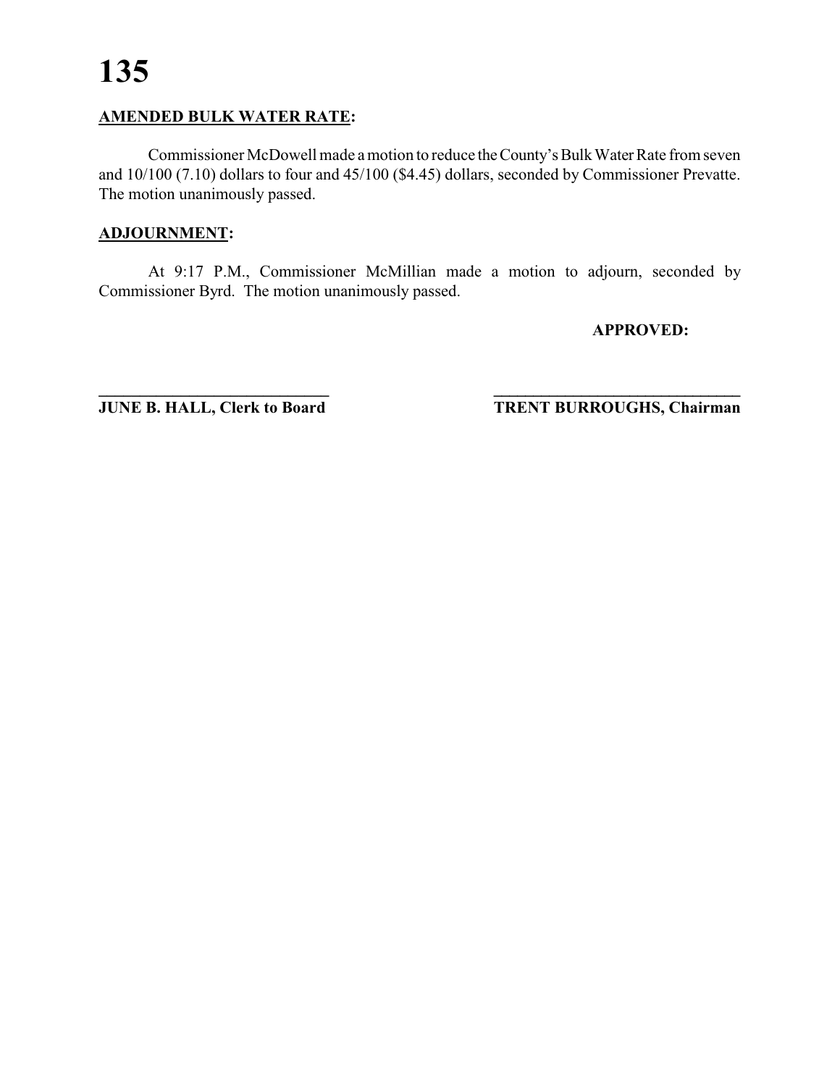# **AMENDED BULK WATER RATE:**

Commissioner McDowell made a motion to reduce the County's Bulk Water Rate from seven and 10/100 (7.10) dollars to four and 45/100 (\$4.45) dollars, seconded by Commissioner Prevatte. The motion unanimously passed.

## **ADJOURNMENT:**

At 9:17 P.M., Commissioner McMillian made a motion to adjourn, seconded by Commissioner Byrd. The motion unanimously passed.

**APPROVED:**

**\_\_\_\_\_\_\_\_\_\_\_\_\_\_\_\_\_\_\_\_\_\_\_\_\_\_\_\_ \_\_\_\_\_\_\_\_\_\_\_\_\_\_\_\_\_\_\_\_\_\_\_\_\_\_\_\_\_\_\_ JUNE B. HALL, Clerk to Board TRENT BURROUGHS, Chairman**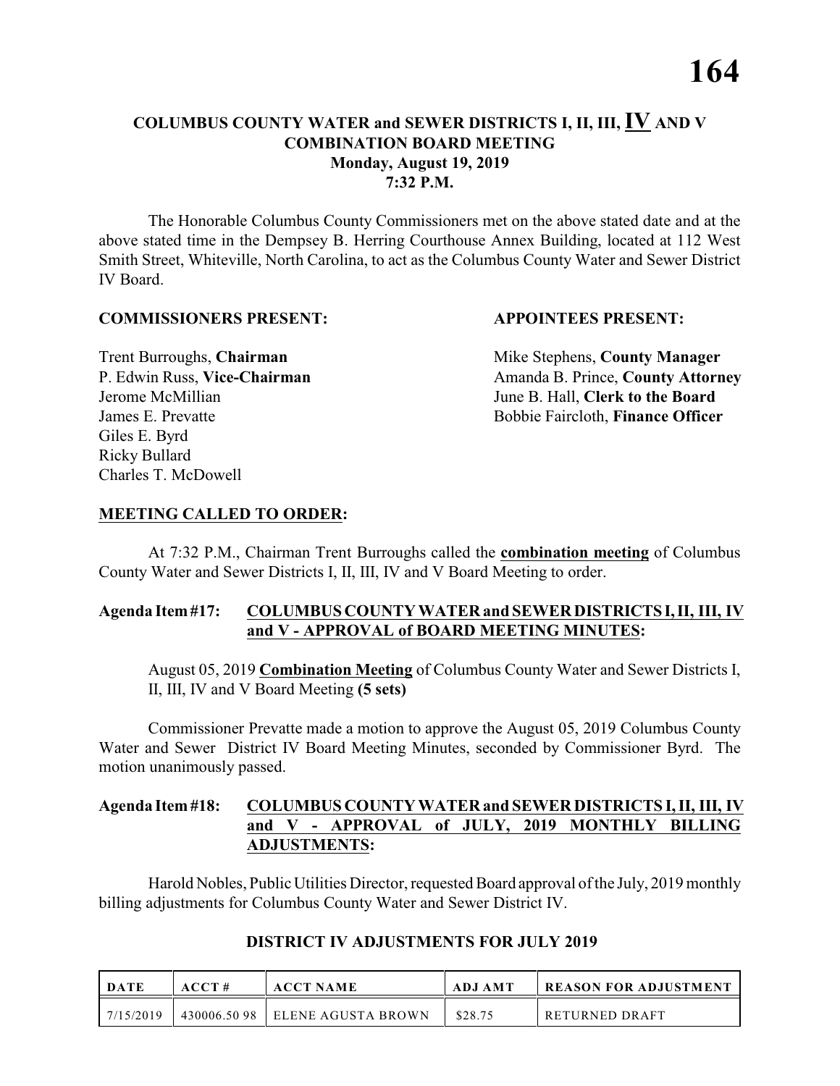## **COLUMBUS COUNTY WATER and SEWER DISTRICTS I, II, III, IV AND V COMBINATION BOARD MEETING Monday, August 19, 2019 7:32 P.M.**

The Honorable Columbus County Commissioners met on the above stated date and at the above stated time in the Dempsey B. Herring Courthouse Annex Building, located at 112 West Smith Street, Whiteville, North Carolina, to act as the Columbus County Water and Sewer District IV Board.

#### **COMMISSIONERS PRESENT: APPOINTEES PRESENT:**

Giles E. Byrd Ricky Bullard Charles T. McDowell

**Trent Burroughs, Chairman** Mike Stephens, **County Manager** P. Edwin Russ, Vice-Chairman Amanda B. Prince, County Attorney Jerome McMillian June B. Hall, **Clerk to the Board** James E. Prevatte Bobbie Faircloth, **Finance Officer**

#### **MEETING CALLED TO ORDER:**

At 7:32 P.M., Chairman Trent Burroughs called the **combination meeting** of Columbus County Water and Sewer Districts I, II, III, IV and V Board Meeting to order.

#### **Agenda Item #17: COLUMBUS COUNTY WATER and SEWER DISTRICTS I, II, III, IV and V - APPROVAL of BOARD MEETING MINUTES:**

August 05, 2019 **Combination Meeting** of Columbus County Water and Sewer Districts I, II, III, IV and V Board Meeting **(5 sets)**

Commissioner Prevatte made a motion to approve the August 05, 2019 Columbus County Water and Sewer District IV Board Meeting Minutes, seconded by Commissioner Byrd. The motion unanimously passed.

#### **Agenda Item #18: COLUMBUS COUNTY WATER and SEWER DISTRICTS I, II, III, IV and V - APPROVAL of JULY, 2019 MONTHLY BILLING ADJUSTMENTS:**

Harold Nobles, Public Utilities Director, requested Board approval of the July, 2019 monthly billing adjustments for Columbus County Water and Sewer District IV.

| DATE      | ACCT#       | <b>ACCT NAME</b>    | ADJ AMT | REASON FOR ADJUSTMENT |
|-----------|-------------|---------------------|---------|-----------------------|
| 7/15/2019 | 430006.5098 | LELENE AGUSTA BROWN | \$28.75 | RETURNED DRAFT        |

# **DISTRICT IV ADJUSTMENTS FOR JULY 2019**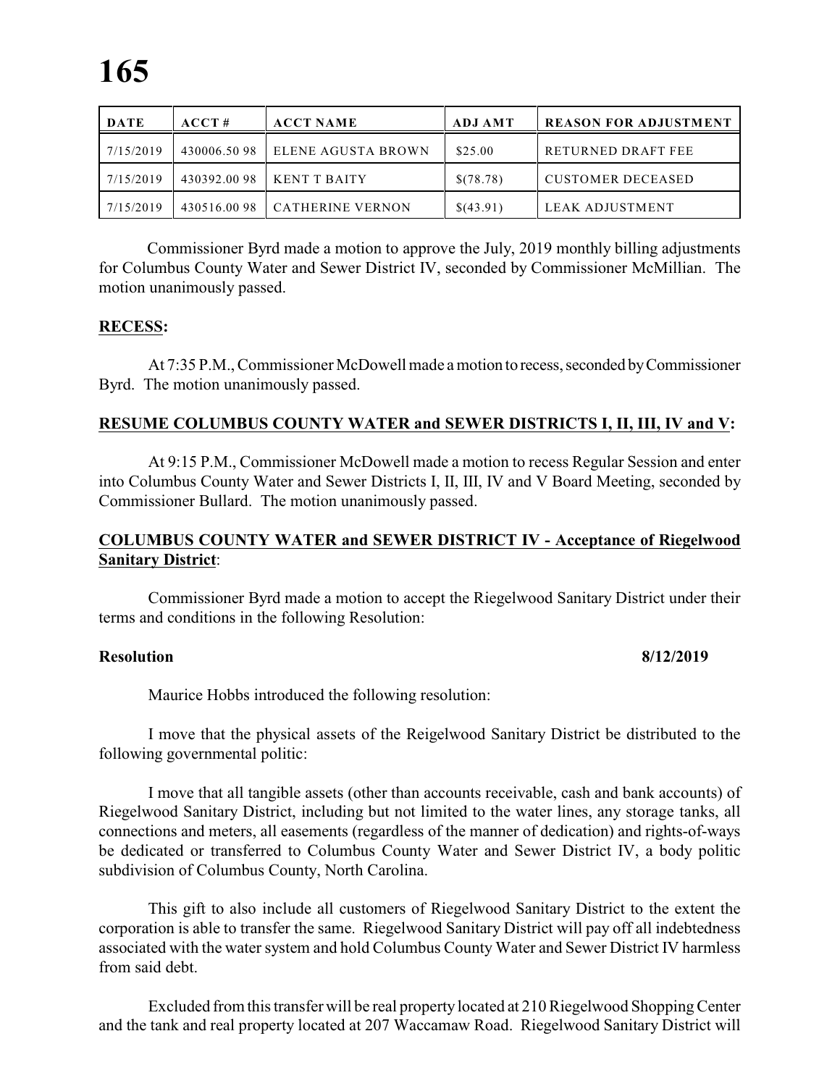| <b>DATE</b> | ACCT#        | <b>ACCT NAME</b>        | <b>ADJ AMT</b> | <b>REASON FOR ADJUSTMENT</b> |
|-------------|--------------|-------------------------|----------------|------------------------------|
| 7/15/2019   | 430006.50 98 | ELENE AGUSTA BROWN      | \$25.00        | RETURNED DRAFT FEE           |
| 7/15/2019   | 430392.0098  | <b>KENT T BAITY</b>     | \$(78.78)      | <b>CUSTOMER DECEASED</b>     |
| 7/15/2019   | 430516.0098  | <b>CATHERINE VERNON</b> | \$(43.91)      | LEAK ADJUSTMENT              |

 Commissioner Byrd made a motion to approve the July, 2019 monthly billing adjustments for Columbus County Water and Sewer District IV, seconded by Commissioner McMillian. The motion unanimously passed.

#### **RECESS:**

At 7:35 P.M., Commissioner McDowell made a motion to recess, seconded by Commissioner Byrd. The motion unanimously passed.

#### **RESUME COLUMBUS COUNTY WATER and SEWER DISTRICTS I, II, III, IV and V:**

At 9:15 P.M., Commissioner McDowell made a motion to recess Regular Session and enter into Columbus County Water and Sewer Districts I, II, III, IV and V Board Meeting, seconded by Commissioner Bullard. The motion unanimously passed.

#### **COLUMBUS COUNTY WATER and SEWER DISTRICT IV - Acceptance of Riegelwood Sanitary District**:

Commissioner Byrd made a motion to accept the Riegelwood Sanitary District under their terms and conditions in the following Resolution:

#### **Resolution 8/12/2019**

Maurice Hobbs introduced the following resolution:

I move that the physical assets of the Reigelwood Sanitary District be distributed to the following governmental politic:

I move that all tangible assets (other than accounts receivable, cash and bank accounts) of Riegelwood Sanitary District, including but not limited to the water lines, any storage tanks, all connections and meters, all easements (regardless of the manner of dedication) and rights-of-ways be dedicated or transferred to Columbus County Water and Sewer District IV, a body politic subdivision of Columbus County, North Carolina.

This gift to also include all customers of Riegelwood Sanitary District to the extent the corporation is able to transfer the same. Riegelwood Sanitary District will pay off all indebtedness associated with the water system and hold Columbus County Water and Sewer District IV harmless from said debt.

Excluded from this transferwill be real property located at 210 Riegelwood Shopping Center and the tank and real property located at 207 Waccamaw Road. Riegelwood Sanitary District will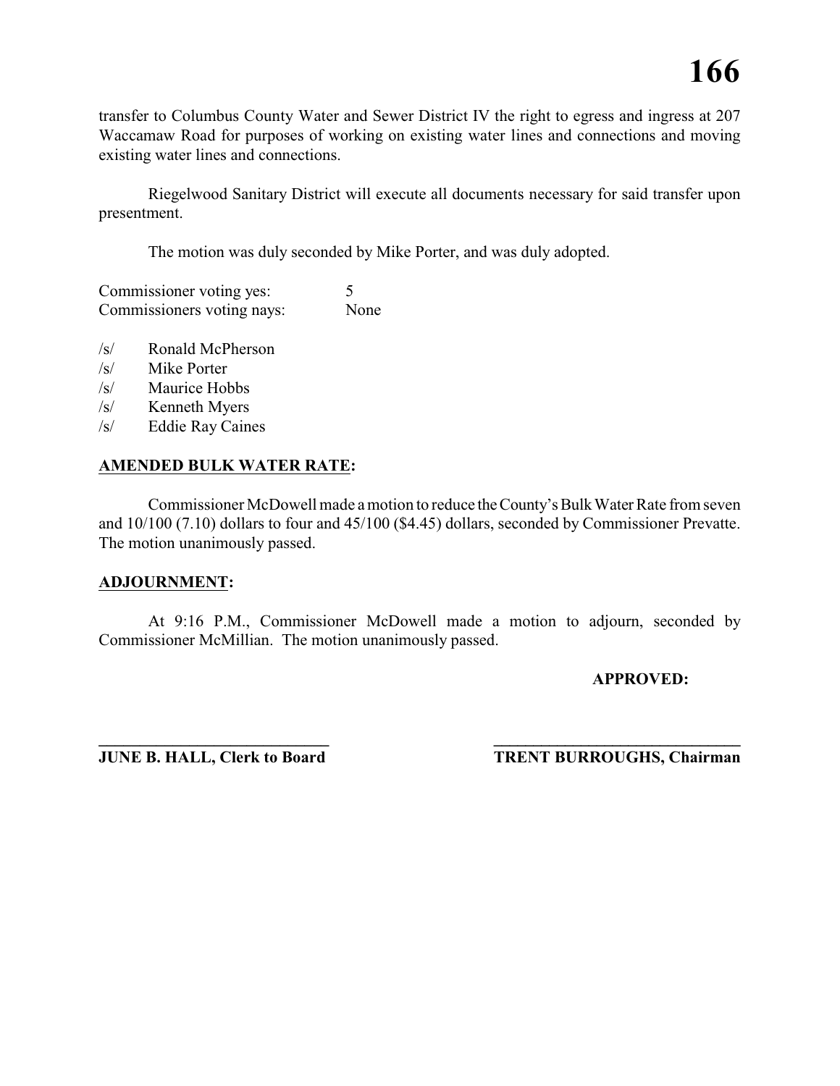transfer to Columbus County Water and Sewer District IV the right to egress and ingress at 207 Waccamaw Road for purposes of working on existing water lines and connections and moving existing water lines and connections.

Riegelwood Sanitary District will execute all documents necessary for said transfer upon presentment.

The motion was duly seconded by Mike Porter, and was duly adopted.

Commissioner voting yes: 5 Commissioners voting nays: None

- /s/ Ronald McPherson
- /s/ Mike Porter
- /s/ Maurice Hobbs
- /s/ Kenneth Myers
- /s/ Eddie Ray Caines

#### **AMENDED BULK WATER RATE:**

Commissioner McDowell made a motion to reduce the County's Bulk Water Rate from seven and 10/100 (7.10) dollars to four and 45/100 (\$4.45) dollars, seconded by Commissioner Prevatte. The motion unanimously passed.

#### **ADJOURNMENT:**

At 9:16 P.M., Commissioner McDowell made a motion to adjourn, seconded by Commissioner McMillian. The motion unanimously passed.

#### **APPROVED:**

**\_\_\_\_\_\_\_\_\_\_\_\_\_\_\_\_\_\_\_\_\_\_\_\_\_\_\_\_ \_\_\_\_\_\_\_\_\_\_\_\_\_\_\_\_\_\_\_\_\_\_\_\_\_\_\_\_\_\_\_ JUNE B. HALL, Clerk to Board TRENT BURROUGHS, Chairman**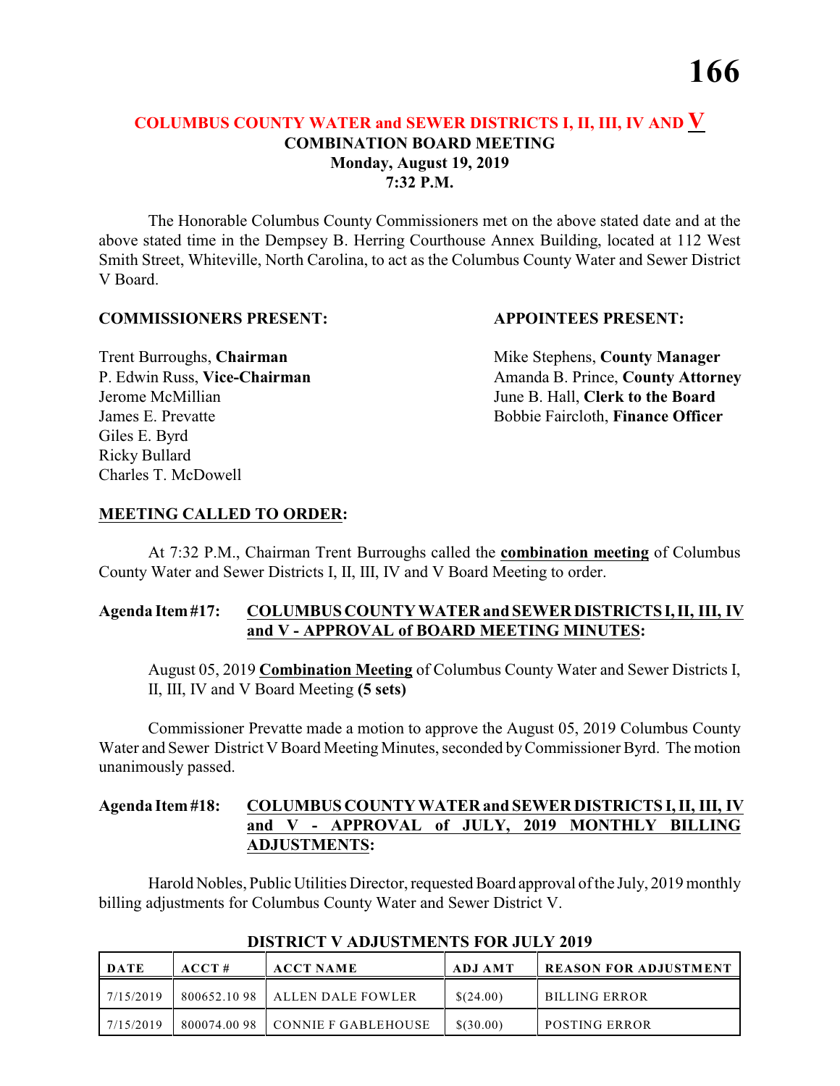# **COLUMBUS COUNTY WATER and SEWER DISTRICTS I, II, III, IV AND V COMBINATION BOARD MEETING Monday, August 19, 2019 7:32 P.M.**

The Honorable Columbus County Commissioners met on the above stated date and at the above stated time in the Dempsey B. Herring Courthouse Annex Building, located at 112 West Smith Street, Whiteville, North Carolina, to act as the Columbus County Water and Sewer District V Board.

#### **COMMISSIONERS PRESENT: APPOINTEES PRESENT:**

Giles E. Byrd Ricky Bullard Charles T. McDowell

**Trent Burroughs, Chairman** Mike Stephens, **County Manager** P. Edwin Russ, Vice-Chairman Amanda B. Prince, County Attorney Jerome McMillian June B. Hall, **Clerk to the Board** James E. Prevatte Bobbie Faircloth, **Finance Officer**

#### **MEETING CALLED TO ORDER:**

At 7:32 P.M., Chairman Trent Burroughs called the **combination meeting** of Columbus County Water and Sewer Districts I, II, III, IV and V Board Meeting to order.

### **Agenda Item #17: COLUMBUS COUNTY WATER and SEWER DISTRICTS I, II, III, IV and V - APPROVAL of BOARD MEETING MINUTES:**

August 05, 2019 **Combination Meeting** of Columbus County Water and Sewer Districts I, II, III, IV and V Board Meeting **(5 sets)**

Commissioner Prevatte made a motion to approve the August 05, 2019 Columbus County Water and Sewer District V Board Meeting Minutes, seconded by Commissioner Byrd. The motion unanimously passed.

#### **Agenda Item #18: COLUMBUS COUNTY WATER and SEWER DISTRICTS I, II, III, IV and V - APPROVAL of JULY, 2019 MONTHLY BILLING ADJUSTMENTS:**

Harold Nobles, Public Utilities Director, requested Board approval of the July, 2019 monthly billing adjustments for Columbus County Water and Sewer District V.

| DATE      | ACCT# | <b>ACCT NAME</b>                  | <b>ADJ AMT</b> | <b>REASON FOR ADJUSTMENT</b> |
|-----------|-------|-----------------------------------|----------------|------------------------------|
| 7/15/2019 |       | $800652.1098$ ALLEN DALE FOWLER   | \$(24.00)      | <b>BILLING ERROR</b>         |
| 7/15/2019 |       | $800074.0098$ CONNIE F GABLEHOUSE | \$(30.00)      | <b>POSTING ERROR</b>         |

#### **DISTRICT V ADJUSTMENTS FOR JULY 2019**